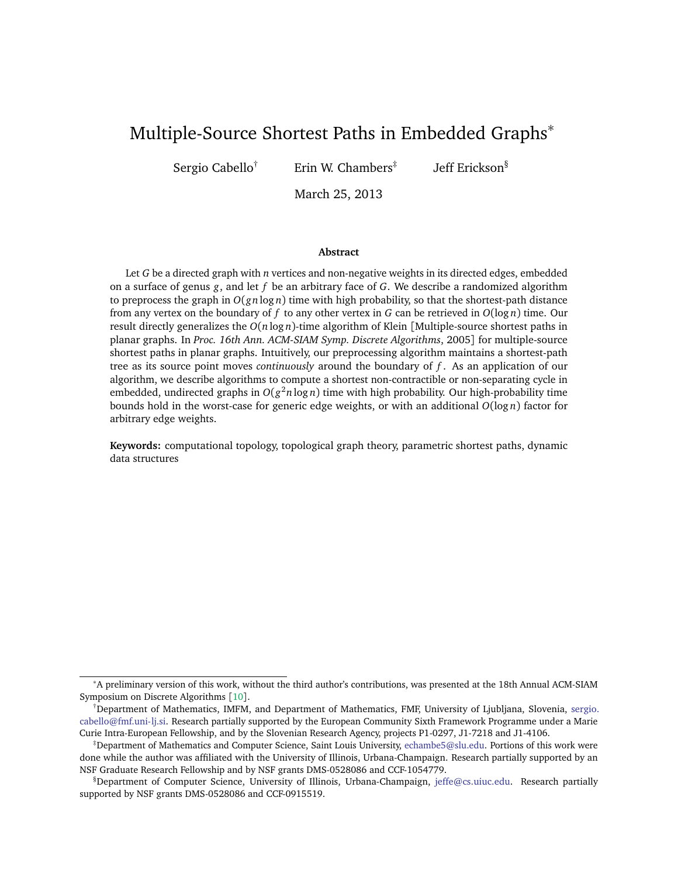# Multiple-Source Shortest Paths in Embedded Graphs<sup>∗</sup>

Sergio Cabello<sup>†</sup> Erin W. Chambers<sup>‡</sup>

Jeff Erickson§

March 25, 2013

#### **Abstract**

Let *G* be a directed graph with *n* vertices and non-negative weights in its directed edges, embedded on a surface of genus *g*, and let *f* be an arbitrary face of *G*. We describe a randomized algorithm to preprocess the graph in  $O(gn \log n)$  time with high probability, so that the shortest-path distance from any vertex on the boundary of *f* to any other vertex in *G* can be retrieved in *O*(log *n*) time. Our result directly generalizes the *O*(*n* log *n*)-time algorithm of Klein [Multiple-source shortest paths in planar graphs. In *Proc. 16th Ann. ACM-SIAM Symp. Discrete Algorithms*, 2005] for multiple-source shortest paths in planar graphs. Intuitively, our preprocessing algorithm maintains a shortest-path tree as its source point moves *continuously* around the boundary of *f* . As an application of our algorithm, we describe algorithms to compute a shortest non-contractible or non-separating cycle in embedded, undirected graphs in *O*(*g* <sup>2</sup>*n* log *n*) time with high probability. Our high-probability time bounds hold in the worst-case for generic edge weights, or with an additional *O*(log *n*) factor for arbitrary edge weights.

**Keywords:** computational topology, topological graph theory, parametric shortest paths, dynamic data structures

<sup>∗</sup>A preliminary version of this work, without the third author's contributions, was presented at the 18th Annual ACM-SIAM Symposium on Discrete Algorithms [[10](#page-27-0)].

<sup>†</sup>Department of Mathematics, IMFM, and Department of Mathematics, FMF, University of Ljubljana, Slovenia, [sergio.](sergio.cabello@fmf.uni-lj.si) [cabello@fmf.uni-lj.si.](sergio.cabello@fmf.uni-lj.si) Research partially supported by the European Community Sixth Framework Programme under a Marie Curie Intra-European Fellowship, and by the Slovenian Research Agency, projects P1-0297, J1-7218 and J1-4106.

<sup>‡</sup>Department of Mathematics and Computer Science, Saint Louis University, [echambe5@slu.edu.](echambe5@slu.edu) Portions of this work were done while the author was affiliated with the University of Illinois, Urbana-Champaign. Research partially supported by an NSF Graduate Research Fellowship and by NSF grants DMS-0528086 and CCF-1054779.

<sup>§</sup>Department of Computer Science, University of Illinois, Urbana-Champaign, [jeffe@cs.uiuc.edu.](jeffe@cs.uiuc.edu) Research partially supported by NSF grants DMS-0528086 and CCF-0915519.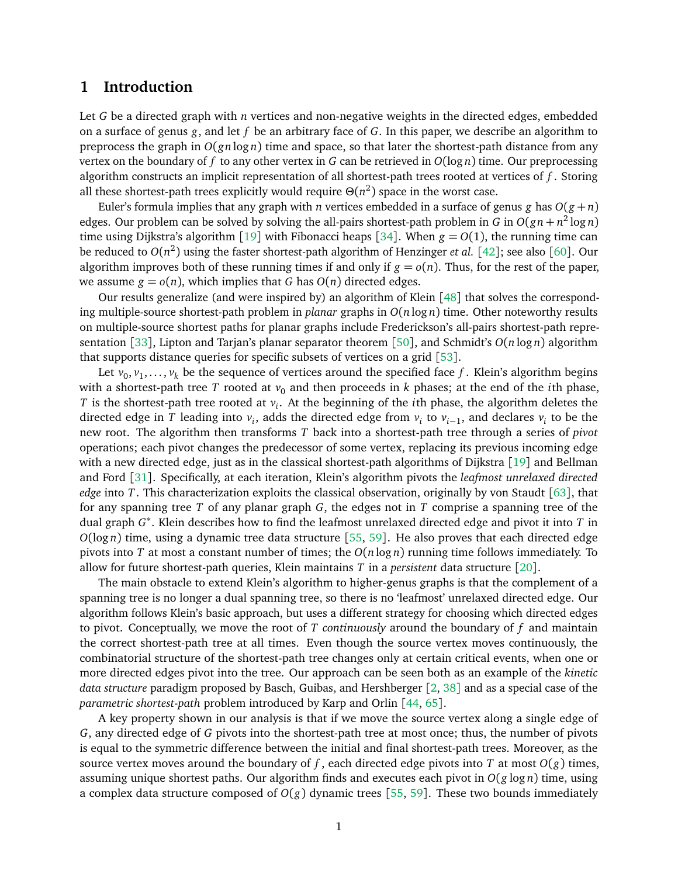### **1 Introduction**

Let *G* be a directed graph with *n* vertices and non-negative weights in the directed edges, embedded on a surface of genus *g*, and let *f* be an arbitrary face of *G*. In this paper, we describe an algorithm to preprocess the graph in  $O(gn \log n)$  time and space, so that later the shortest-path distance from any vertex on the boundary of *f* to any other vertex in *G* can be retrieved in *O*(log *n*) time. Our preprocessing algorithm constructs an implicit representation of all shortest-path trees rooted at vertices of *f* . Storing all these shortest-path trees explicitly would require  $\Theta(n^2)$  space in the worst case.

Euler's formula implies that any graph with *n* vertices embedded in a surface of genus *g* has  $O(g + n)$ edges. Our problem can be solved by solving the all-pairs shortest-path problem in *G* in  $O(gn + n^2 \log n)$ time using Dijkstra's algorithm [[19](#page-28-0)] with Fibonacci heaps [[34](#page-28-1)]. When  $g = O(1)$ , the running time can be reduced to *O*(*n* 2 ) using the faster shortest-path algorithm of Henzinger *et al.* [[42](#page-29-0)]; see also [[60](#page-30-0)]. Our algorithm improves both of these running times if and only if  $g = o(n)$ . Thus, for the rest of the paper, we assume  $g = o(n)$ , which implies that *G* has  $O(n)$  directed edges.

Our results generalize (and were inspired by) an algorithm of Klein [[48](#page-29-1)] that solves the corresponding multiple-source shortest-path problem in *planar* graphs in *O*(*n* log *n*) time. Other noteworthy results on multiple-source shortest paths for planar graphs include Frederickson's all-pairs shortest-path representation [[33](#page-28-2)], Lipton and Tarjan's planar separator theorem [[50](#page-29-2)], and Schmidt's *O*(*n* log *n*) algorithm that supports distance queries for specific subsets of vertices on a grid [[53](#page-30-1)].

Let  $v_0, v_1, \ldots, v_k$  be the sequence of vertices around the specified face  $f$  . Klein's algorithm begins with a shortest-path tree *T* rooted at  $v_0$  and then proceeds in *k* phases; at the end of the *i*th phase, *T* is the shortest-path tree rooted at *v<sup>i</sup>* . At the beginning of the *i*th phase, the algorithm deletes the directed edge in  $T$  leading into  $v_i$ , adds the directed edge from  $v_i$  to  $v_{i-1}$ , and declares  $v_i$  to be the new root. The algorithm then transforms *T* back into a shortest-path tree through a series of *pivot* operations; each pivot changes the predecessor of some vertex, replacing its previous incoming edge with a new directed edge, just as in the classical shortest-path algorithms of Dijkstra [[19](#page-28-0)] and Bellman and Ford [[31](#page-28-3)]. Specifically, at each iteration, Klein's algorithm pivots the *leafmost unrelaxed directed edge* into *T*. This characterization exploits the classical observation, originally by von Staudt [[63](#page-30-2)], that for any spanning tree *T* of any planar graph *G*, the edges not in *T* comprise a spanning tree of the dual graph *G* ∗ . Klein describes how to find the leafmost unrelaxed directed edge and pivot it into *T* in *O*(log *n*) time, using a dynamic tree data structure [[55,](#page-30-3) [59](#page-30-4)]. He also proves that each directed edge pivots into *T* at most a constant number of times; the *O*(*n* log *n*) running time follows immediately. To allow for future shortest-path queries, Klein maintains *T* in a *persistent* data structure [[20](#page-28-4)].

The main obstacle to extend Klein's algorithm to higher-genus graphs is that the complement of a spanning tree is no longer a dual spanning tree, so there is no 'leafmost' unrelaxed directed edge. Our algorithm follows Klein's basic approach, but uses a different strategy for choosing which directed edges to pivot. Conceptually, we move the root of *T continuously* around the boundary of *f* and maintain the correct shortest-path tree at all times. Even though the source vertex moves continuously, the combinatorial structure of the shortest-path tree changes only at certain critical events, when one or more directed edges pivot into the tree. Our approach can be seen both as an example of the *kinetic data structure* paradigm proposed by Basch, Guibas, and Hershberger [[2,](#page-27-1) [38](#page-29-3)] and as a special case of the *parametric shortest-path* problem introduced by Karp and Orlin [[44,](#page-29-4) [65](#page-30-5)].

A key property shown in our analysis is that if we move the source vertex along a single edge of *G*, any directed edge of *G* pivots into the shortest-path tree at most once; thus, the number of pivots is equal to the symmetric difference between the initial and final shortest-path trees. Moreover, as the source vertex moves around the boundary of f, each directed edge pivots into T at most  $O(g)$  times, assuming unique shortest paths. Our algorithm finds and executes each pivot in *O*(*g* log *n*) time, using a complex data structure composed of  $O(g)$  dynamic trees [[55,](#page-30-3) [59](#page-30-4)]. These two bounds immediately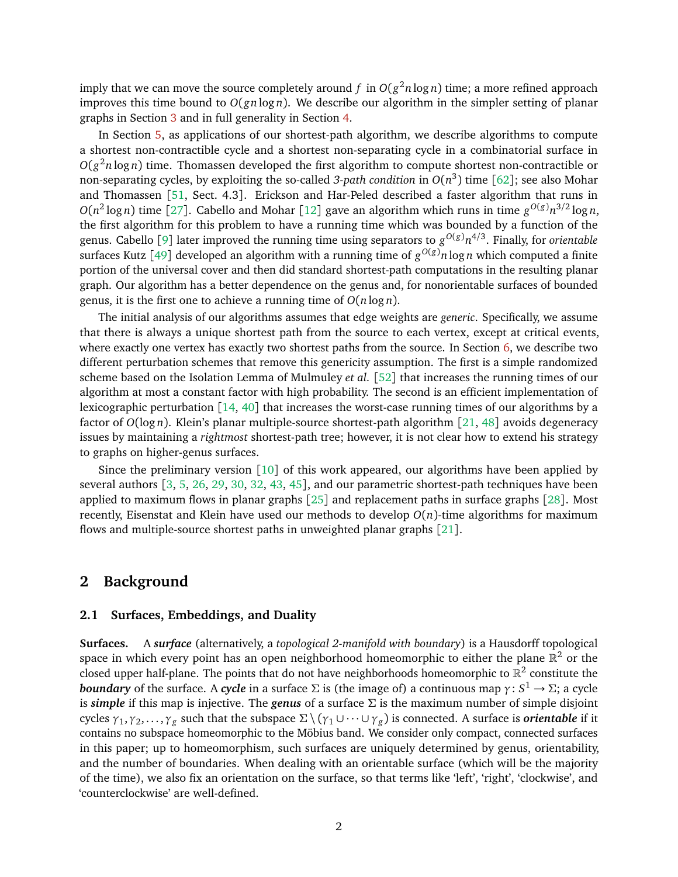imply that we can move the source completely around  $f$  in  $O(g^2 n \log n)$  time; a more refined approach improves this time bound to *O*(*gn* log *n*). We describe our algorithm in the simpler setting of planar graphs in Section [3](#page-8-0) and in full generality in Section [4.](#page-12-0)

In Section [5,](#page-18-0) as applications of our shortest-path algorithm, we describe algorithms to compute a shortest non-contractible cycle and a shortest non-separating cycle in a combinatorial surface in *O*(*g* <sup>2</sup>*n* log *n*) time. Thomassen developed the first algorithm to compute shortest non-contractible or non-separating cycles, by exploiting the so-called *3-path condition* in  $O(n^3)$  time [[62](#page-30-6)]; see also Mohar and Thomassen [[51,](#page-29-5) Sect. 4.3]. Erickson and Har-Peled described a faster algorithm that runs in  $O(n^2 \log n)$  time [[27](#page-28-5)]. Cabello and Mohar [[12](#page-27-2)] gave an algorithm which runs in time  $g^{O(g)}n^{3/2} \log n$ , the first algorithm for this problem to have a running time which was bounded by a function of the genus. Cabello [[9](#page-27-3)] later improved the running time using separators to *g <sup>O</sup>*(*g*)*n* 4*/*3 . Finally, for *orientable* surfaces Kutz [[49](#page-29-6)] developed an algorithm with a running time of  $g^{O(g)}n\log n$  which computed a finite portion of the universal cover and then did standard shortest-path computations in the resulting planar graph. Our algorithm has a better dependence on the genus and, for nonorientable surfaces of bounded genus, it is the first one to achieve a running time of *O*(*n* log *n*).

The initial analysis of our algorithms assumes that edge weights are *generic*. Specifically, we assume that there is always a unique shortest path from the source to each vertex, except at critical events, where exactly one vertex has exactly two shortest paths from the source. In Section [6,](#page-21-0) we describe two different perturbation schemes that remove this genericity assumption. The first is a simple randomized scheme based on the Isolation Lemma of Mulmuley *et al.* [[52](#page-30-7)] that increases the running times of our algorithm at most a constant factor with high probability. The second is an efficient implementation of lexicographic perturbation [[14,](#page-27-4) [40](#page-29-7)] that increases the worst-case running times of our algorithms by a factor of *O*(log *n*). Klein's planar multiple-source shortest-path algorithm [[21,](#page-28-6) [48](#page-29-1)] avoids degeneracy issues by maintaining a *rightmost* shortest-path tree; however, it is not clear how to extend his strategy to graphs on higher-genus surfaces.

Since the preliminary version [[10](#page-27-0)] of this work appeared, our algorithms have been applied by several authors [[3,](#page-27-5) [5,](#page-27-6) [26,](#page-28-7) [29,](#page-28-8) [30,](#page-28-9) [32,](#page-28-10) [43,](#page-29-8) [45](#page-29-9)], and our parametric shortest-path techniques have been applied to maximum flows in planar graphs [[25](#page-28-11)] and replacement paths in surface graphs [[28](#page-28-12)]. Most recently, Eisenstat and Klein have used our methods to develop *O*(*n*)-time algorithms for maximum flows and multiple-source shortest paths in unweighted planar graphs [[21](#page-28-6)].

# **2 Background**

#### **2.1 Surfaces, Embeddings, and Duality**

**Surfaces.** A *surface* (alternatively, a *topological 2-manifold with boundary*) is a Hausdorff topological space in which every point has an open neighborhood homeomorphic to either the plane  $\mathbb{R}^2$  or the closed upper half-plane. The points that do not have neighborhoods homeomorphic to  $\mathbb{R}^2$  constitute the *boundary* of the surface. A *cycle* in a surface Σ is (the image of) a continuous map *γ*: *S* <sup>1</sup> → Σ; a cycle is *simple* if this map is injective. The *genus* of a surface Σ is the maximum number of simple disjoint *c*ycles *γ*<sub>1</sub>, *γ*<sub>2</sub>, . . . , *γ*<sub>*g*</sub> such that the subspace Σ \ (*γ*<sub>1</sub> ∪ · · · ∪ *γ*<sub>*g*</sub>) is connected. A surface is *orientable* if it contains no subspace homeomorphic to the Möbius band. We consider only compact, connected surfaces in this paper; up to homeomorphism, such surfaces are uniquely determined by genus, orientability, and the number of boundaries. When dealing with an orientable surface (which will be the majority of the time), we also fix an orientation on the surface, so that terms like 'left', 'right', 'clockwise', and 'counterclockwise' are well-defined.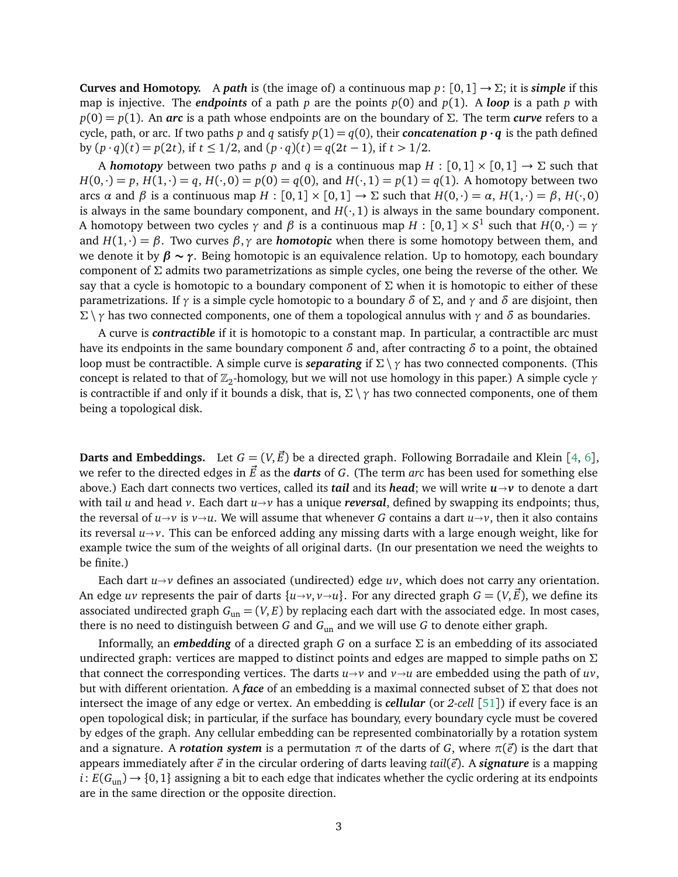**Curves and Homotopy.** A *path* is (the image of) a continuous map  $p: [0,1] \rightarrow \Sigma$ ; it is *simple* if this map is injective. The *endpoints* of a path *p* are the points  $p(0)$  and  $p(1)$ . A *loop* is a path *p* with *p*(0) = *p*(1). An *arc* is a path whose endpoints are on the boundary of Σ. The term *curve* refers to a cycle, path, or arc. If two paths *p* and *q* satisfy  $p(1) = q(0)$ , their *concatenation*  $p \cdot q$  is the path defined by (*p* · *q*)(*t*) = *p*(2*t*), if *t* ≤ 1*/*2, and (*p* · *q*)(*t*) = *q*(2*t* − 1), if *t >* 1*/*2.

A *homotopy* between two paths *p* and *q* is a continuous map  $H : [0,1] \times [0,1] \rightarrow \Sigma$  such that  $H(0,\cdot) = p$ ,  $H(1,\cdot) = q$ ,  $H(\cdot,0) = p(0) = q(0)$ , and  $H(\cdot,1) = p(1) = q(1)$ . A homotopy between two arcs *α* and *β* is a continuous map *H* :  $[0,1] \times [0,1]$  → Σ such that  $H(0,\cdot) = α$ ,  $H(1,\cdot) = β$ ,  $H(\cdot,0)$ is always in the same boundary component, and  $H(\cdot,1)$  is always in the same boundary component. A homotopy between two cycles  $\gamma$  and  $\beta$  is a continuous map  $H:[0,1]\times S^1$  such that  $H(0,\cdot)=\gamma$ and  $H(1,\cdot) = \beta$ . Two curves  $\beta, \gamma$  are *homotopic* when there is some homotopy between them, and we denote it by *β* **∼** *γ*. Being homotopic is an equivalence relation. Up to homotopy, each boundary component of  $\Sigma$  admits two parametrizations as simple cycles, one being the reverse of the other. We say that a cycle is homotopic to a boundary component of  $\Sigma$  when it is homotopic to either of these parametrizations. If *γ* is a simple cycle homotopic to a boundary *δ* of Σ, and *γ* and *δ* are disjoint, then Σ \ *γ* has two connected components, one of them a topological annulus with *γ* and *δ* as boundaries.

A curve is *contractible* if it is homotopic to a constant map. In particular, a contractible arc must have its endpoints in the same boundary component *δ* and, after contracting *δ* to a point, the obtained loop must be contractible. A simple curve is *separating* if Σ \ *γ* has two connected components. (This concept is related to that of  $\mathbb{Z}_2$ -homology, but we will not use homology in this paper.) A simple cycle *γ* is contractible if and only if it bounds a disk, that is,  $\Sigma \setminus \gamma$  has two connected components, one of them being a topological disk.

**Darts and Embeddings.** Let  $G = (V, \vec{E})$  be a directed graph. Following Borradaile and Klein [[4,](#page-27-7) [6](#page-27-8)], we refer to the directed edges in  $\vec{E}$  as the *darts* of *G*. (The term *arc* has been used for something else above.) Each dart connects two vertices, called its *tail* and its *head*; we will write  $u \rightarrow v$  to denote a dart with tail *u* and head *v*. Each dart  $u \rightarrow v$  has a unique *reversal*, defined by swapping its endpoints; thus, the reversal of  $u \rightarrow v$  is  $v \rightarrow u$ . We will assume that whenever *G* contains a dart  $u \rightarrow v$ , then it also contains its reversal  $u \rightarrow v$ . This can be enforced adding any missing darts with a large enough weight, like for example twice the sum of the weights of all original darts. (In our presentation we need the weights to be finite.)

Each dart  $u \rightarrow v$  defines an associated (undirected) edge  $uv$ , which does not carry any orientation. An edge *uv* represents the pair of darts  $\{u \rightarrow v, v \rightarrow u\}$ . For any directed graph  $G = (V, \vec{E})$ , we define its associated undirected graph  $G_{un} = (V, E)$  by replacing each dart with the associated edge. In most cases, there is no need to distinguish between *G* and *G*un and we will use *G* to denote either graph.

Informally, an *embedding* of a directed graph *G* on a surface  $\Sigma$  is an embedding of its associated undirected graph: vertices are mapped to distinct points and edges are mapped to simple paths on  $\Sigma$ that connect the corresponding vertices. The darts  $u \rightarrow v$  and  $v \rightarrow u$  are embedded using the path of  $uv$ , but with different orientation. A *face* of an embedding is a maximal connected subset of Σ that does not intersect the image of any edge or vertex. An embedding is *cellular* (or *2-cell* [[51](#page-29-5)]) if every face is an open topological disk; in particular, if the surface has boundary, every boundary cycle must be covered by edges of the graph. Any cellular embedding can be represented combinatorially by a rotation system and a signature. A *rotation system* is a permutation  $\pi$  of the darts of *G*, where  $\pi(\vec{e})$  is the dart that appears immediately after  $\vec{e}$  in the circular ordering of darts leaving *tail*( $\vec{e}$ ). A *signature* is a mapping  $i: E(G_{un}) \rightarrow \{0, 1\}$  assigning a bit to each edge that indicates whether the cyclic ordering at its endpoints are in the same direction or the opposite direction.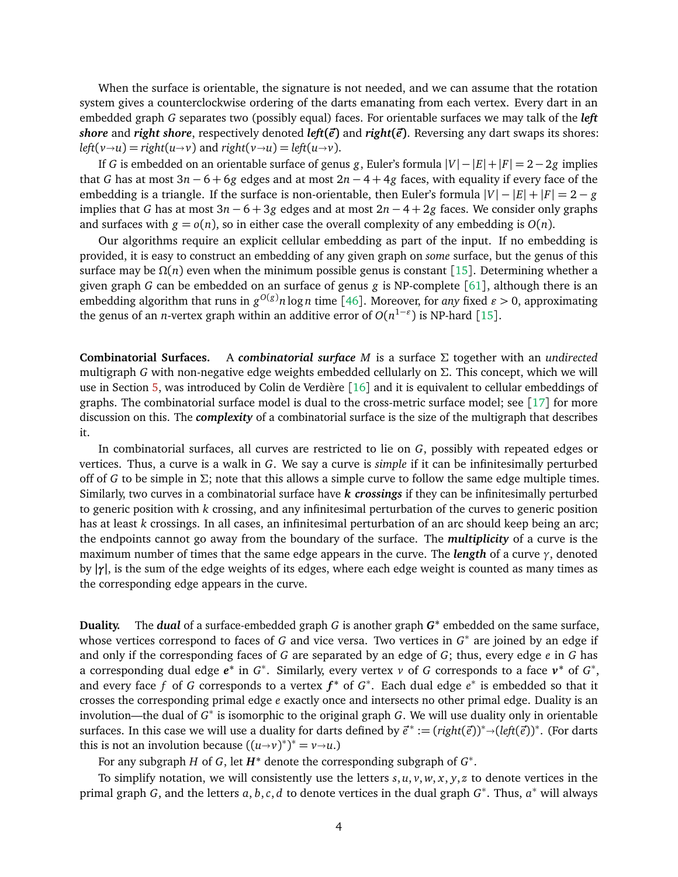When the surface is orientable, the signature is not needed, and we can assume that the rotation system gives a counterclockwise ordering of the darts emanating from each vertex. Every dart in an embedded graph *G* separates two (possibly equal) faces. For orientable surfaces we may talk of the *left shore* and *right shore*, respectively denoted *left***(***~e***)** and *right***(***~e***)**. Reversing any dart swaps its shores:  $left(v \rightarrow u\right) = right(u \rightarrow v)$  and  $right(v \rightarrow u) = left(u \rightarrow v)$ .

If *G* is embedded on an orientable surface of genus *g*, Euler's formula |*V*| −|*E*|+|*F*| = 2−2*g* implies that *G* has at most 3*n* − 6 + 6*g* edges and at most 2*n* − 4 + 4*g* faces, with equality if every face of the embedding is a triangle. If the surface is non-orientable, then Euler's formula  $|V| - |E| + |F| = 2 - g$ implies that *G* has at most 3*n* − 6 + 3*g* edges and at most 2*n* − 4 + 2*g* faces. We consider only graphs and surfaces with  $g = o(n)$ , so in either case the overall complexity of any embedding is  $O(n)$ .

Our algorithms require an explicit cellular embedding as part of the input. If no embedding is provided, it is easy to construct an embedding of any given graph on *some* surface, but the genus of this surface may be  $\Omega(n)$  even when the minimum possible genus is constant [[15](#page-27-9)]. Determining whether a given graph *G* can be embedded on an surface of genus *g* is NP-complete [[61](#page-30-8)], although there is an embedding algorithm that runs in  $g^{O(g)}n\log n$  time [[46](#page-29-10)]. Moreover, for *any* fixed  $\varepsilon > 0$ , approximating the genus of an *n*-vertex graph within an additive error of  $O(n^{1-\epsilon})$  is NP-hard [[15](#page-27-9)].

**Combinatorial Surfaces.** A *combinatorial surface M* is a surface Σ together with an *undirected* multigraph *G* with non-negative edge weights embedded cellularly on  $\Sigma$ . This concept, which we will use in Section [5,](#page-18-0) was introduced by Colin de Verdière [[16](#page-27-10)] and it is equivalent to cellular embeddings of graphs. The combinatorial surface model is dual to the cross-metric surface model; see  $\lceil 17 \rceil$  $\lceil 17 \rceil$  $\lceil 17 \rceil$  for more discussion on this. The *complexity* of a combinatorial surface is the size of the multigraph that describes it.

In combinatorial surfaces, all curves are restricted to lie on *G*, possibly with repeated edges or vertices. Thus, a curve is a walk in *G*. We say a curve is *simple* if it can be infinitesimally perturbed off of *G* to be simple in  $\Sigma$ ; note that this allows a simple curve to follow the same edge multiple times. Similarly, two curves in a combinatorial surface have *k crossings* if they can be infinitesimally perturbed to generic position with *k* crossing, and any infinitesimal perturbation of the curves to generic position has at least *k* crossings. In all cases, an infinitesimal perturbation of an arc should keep being an arc; the endpoints cannot go away from the boundary of the surface. The *multiplicity* of a curve is the maximum number of times that the same edge appears in the curve. The *length* of a curve *γ*, denoted by **|***γ***|**, is the sum of the edge weights of its edges, where each edge weight is counted as many times as the corresponding edge appears in the curve.

**Duality.** The *dual* of a surface-embedded graph *G* is another graph *G***<sup>∗</sup>** embedded on the same surface, whose vertices correspond to faces of *G* and vice versa. Two vertices in *G*<sup>\*</sup> are joined by an edge if and only if the corresponding faces of *G* are separated by an edge of *G*; thus, every edge *e* in *G* has a corresponding dual edge  $e^*$  in  $G^*$ . Similarly, every vertex *v* of *G* corresponds to a face  $v^*$  of  $G^*$ , and every face *f* of *G* corresponds to a vertex  $f^*$  of  $G^*$ . Each dual edge  $e^*$  is embedded so that it crosses the corresponding primal edge *e* exactly once and intersects no other primal edge. Duality is an involution—the dual of  $G^*$  is isomorphic to the original graph *G*. We will use duality only in orientable surfaces. In this case we will use a duality for darts defined by  $\vec{e}^* := (right(\vec{e}))^* \rightarrow (left(\vec{e})^*)^*$ . (For darts this is not an involution because  $((u, w)^*)^* = u(w)$ this is not an involution because  $((u \rightarrow v)^*)^* = v \rightarrow u$ .)

For any subgraph *H* of *G*, let *H***<sup>∗</sup>** denote the corresponding subgraph of *G* ∗ .

To simplify notation, we will consistently use the letters  $s, u, v, w, x, y, z$  to denote vertices in the primal graph *G*, and the letters *a*, *b*,*c*, *d* to denote vertices in the dual graph *G* ∗ . Thus, *a* <sup>∗</sup> will always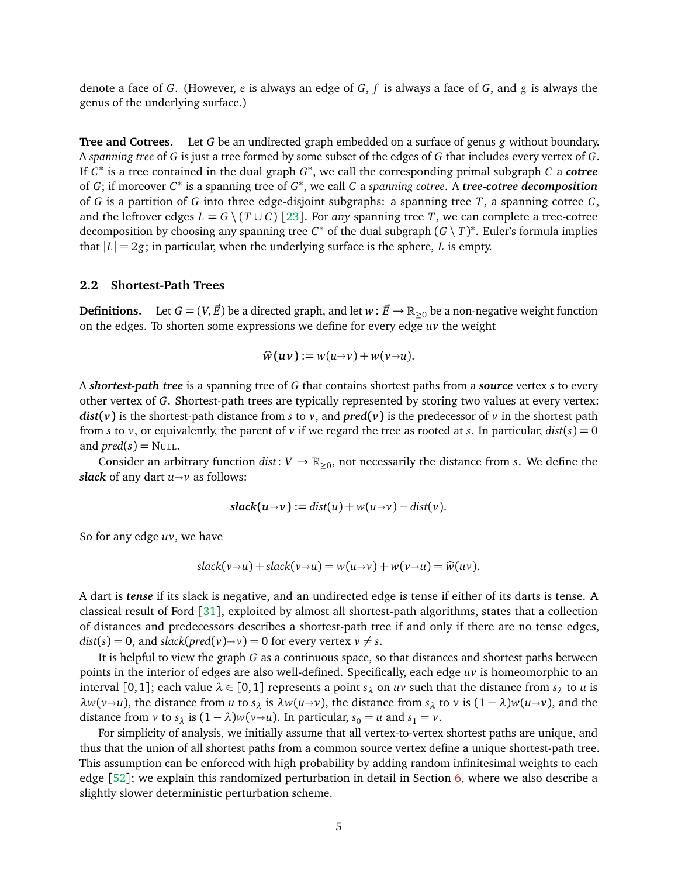denote a face of *G*. (However, *e* is always an edge of *G*, *f* is always a face of *G*, and *g* is always the genus of the underlying surface.)

**Tree and Cotrees.** Let *G* be an undirected graph embedded on a surface of genus *g* without boundary. A *spanning tree* of *G* is just a tree formed by some subset of the edges of *G* that includes every vertex of *G*. If *C* ∗ is a tree contained in the dual graph *G* ∗ , we call the corresponding primal subgraph *C* a *cotree* of *G*; if moreover *C* ∗ is a spanning tree of *G* ∗ , we call *C* a *spanning cotree*. A *tree-cotree decomposition* of *G* is a partition of *G* into three edge-disjoint subgraphs: a spanning tree *T*, a spanning cotree *C*, and the leftover edges  $L = G \setminus (T \cup C)$  [[23](#page-28-14)]. For *any* spanning tree *T*, we can complete a tree-cotree decomposition by choosing any spanning tree  $C^*$  of the dual subgraph  $(G \setminus T)^*$ . Euler's formula implies that  $|L| = 2g$ ; in particular, when the underlying surface is the sphere, *L* is empty.

#### **2.2 Shortest-Path Trees**

**Definitions.** Let  $G = (V, \vec{E})$  be a directed graph, and let  $w : \vec{E} \to \mathbb{R}_{\geq 0}$  be a non-negative weight function on the edges. To shorten some expressions we define for every edge *uv* the weight

$$
\widehat{w}(uv) := w(u\rightarrow v) + w(v\rightarrow u).
$$

A *shortest-path tree* is a spanning tree of *G* that contains shortest paths from a *source* vertex *s* to every other vertex of *G*. Shortest-path trees are typically represented by storing two values at every vertex: *dist*(*v*) is the shortest-path distance from *s* to *v*, and *pred*(*v*) is the predecessor of *v* in the shortest path from *s* to *v*, or equivalently, the parent of *v* if we regard the tree as rooted at *s*. In particular,  $dist(s) = 0$ and  $pred(s) = NULL.$ 

Consider an arbitrary function  $dist: V \to \mathbb{R}_{\geq 0}$ , not necessarily the distance from *s*. We define the *slack* of any dart  $u \rightarrow v$  as follows:

$$
slack(u\rightarrow v) := dist(u) + w(u\rightarrow v) - dist(v).
$$

So for any edge *uv*, we have

$$
slack(v \rightarrow u) + slack(v \rightarrow u) = w(u \rightarrow v) + w(v \rightarrow u) = \widehat{w}(uv).
$$

A dart is *tense* if its slack is negative, and an undirected edge is tense if either of its darts is tense. A classical result of Ford [[31](#page-28-3)], exploited by almost all shortest-path algorithms, states that a collection of distances and predecessors describes a shortest-path tree if and only if there are no tense edges,  $dist(s) = 0$ , and  $slack(pred(v) \rightarrow v) = 0$  for every vertex  $v \neq s$ .

It is helpful to view the graph *G* as a continuous space, so that distances and shortest paths between points in the interior of edges are also well-defined. Specifically, each edge *uv* is homeomorphic to an interval [0,1]; each value  $\lambda \in [0,1]$  represents a point  $s_\lambda$  on *uv* such that the distance from  $s_\lambda$  to *u* is *λw*(*v* $\rightarrow$ *u*), the distance from *u* to *s*<sub>λ</sub> is *λw*(*u* $\rightarrow$ *v*), the distance from *s*<sub>λ</sub> to *v* is (1 − *λ*)*w*(*u* $\rightarrow$ *v*), and the distance from *v* to  $s_{\lambda}$  is  $(1 - \lambda)w(v \rightarrow u)$ . In particular,  $s_0 = u$  and  $s_1 = v$ .

For simplicity of analysis, we initially assume that all vertex-to-vertex shortest paths are unique, and thus that the union of all shortest paths from a common source vertex define a unique shortest-path tree. This assumption can be enforced with high probability by adding random infinitesimal weights to each edge  $[52]$  $[52]$  $[52]$ ; we explain this randomized perturbation in detail in Section [6,](#page-21-0) where we also describe a slightly slower deterministic perturbation scheme.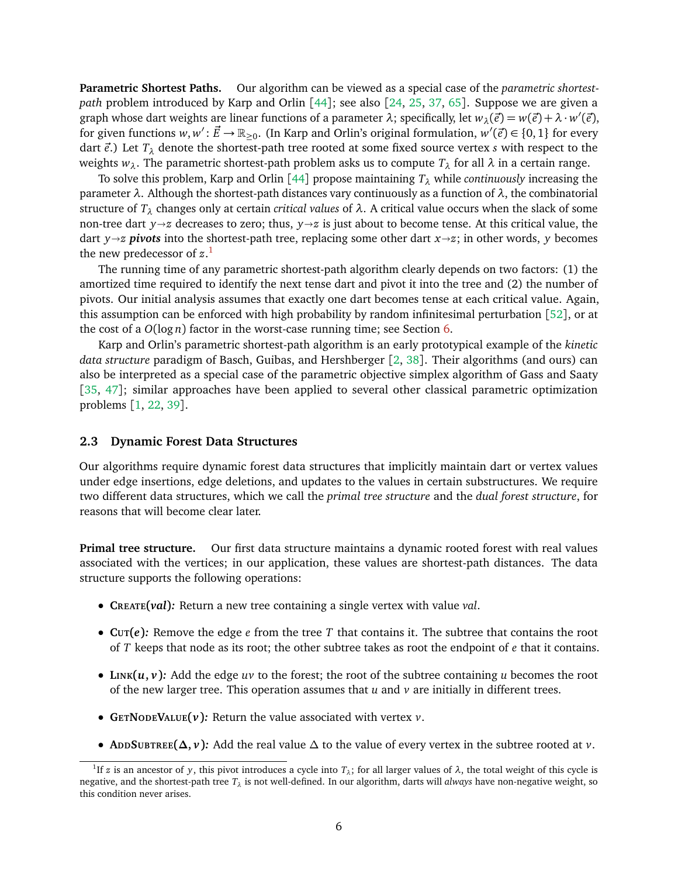**Parametric Shortest Paths.** Our algorithm can be viewed as a special case of the *parametric shortestpath* problem introduced by Karp and Orlin [[44](#page-29-4)]; see also [[24,](#page-28-15) [25,](#page-28-11) [37,](#page-29-11) [65](#page-30-5)]. Suppose we are given a graph whose dart weights are linear functions of a parameter  $\lambda$ ; specifically, let  $w_\lambda(\vec{e}) = w(\vec{e}) + \lambda \cdot w'(\vec{e})$ , for given functions  $w, w' : \vec{E} \to \mathbb{R}_{\geq 0}$ . (In Karp and Orlin's original formulation,  $w'(\vec{e}) \in \{0, 1\}$  for every dart  $\vec{e}$ .) Let  $T_{\lambda}$  denote the shortest-path tree rooted at some fixed source vertex *s* with respect to the weights  $w_{\lambda}$ . The parametric shortest-path problem asks us to compute  $T_{\lambda}$  for all  $\lambda$  in a certain range.

To solve this problem, Karp and Orlin [[44](#page-29-4)] propose maintaining *T<sup>λ</sup>* while *continuously* increasing the parameter *λ*. Although the shortest-path distances vary continuously as a function of *λ*, the combinatorial structure of  $T_\lambda$  changes only at certain *critical values* of  $\lambda$ . A critical value occurs when the slack of some non-tree dart *y* $\rightarrow$ *z* decreases to zero; thus, *y* $\rightarrow$ *z* is just about to become tense. At this critical value, the dart *y* $\rightarrow$ *z pivots* into the shortest-path tree, replacing some other dart *x* $\rightarrow$ *z*; in other words, *y* becomes the new predecessor of *z*. [1](#page-6-0)

The running time of any parametric shortest-path algorithm clearly depends on two factors: (1) the amortized time required to identify the next tense dart and pivot it into the tree and (2) the number of pivots. Our initial analysis assumes that exactly one dart becomes tense at each critical value. Again, this assumption can be enforced with high probability by random infinitesimal perturbation [[52](#page-30-7)], or at the cost of a *O*(log *n*) factor in the worst-case running time; see Section [6.](#page-21-0)

Karp and Orlin's parametric shortest-path algorithm is an early prototypical example of the *kinetic data structure* paradigm of Basch, Guibas, and Hershberger [[2,](#page-27-1) [38](#page-29-3)]. Their algorithms (and ours) can also be interpreted as a special case of the parametric objective simplex algorithm of Gass and Saaty [[35,](#page-29-12) [47](#page-29-13)]; similar approaches have been applied to several other classical parametric optimization problems [[1,](#page-27-11) [22,](#page-28-16) [39](#page-29-14)].

#### <span id="page-6-1"></span>**2.3 Dynamic Forest Data Structures**

Our algorithms require dynamic forest data structures that implicitly maintain dart or vertex values under edge insertions, edge deletions, and updates to the values in certain substructures. We require two different data structures, which we call the *primal tree structure* and the *dual forest structure*, for reasons that will become clear later.

**Primal tree structure.** Our first data structure maintains a dynamic rooted forest with real values associated with the vertices; in our application, these values are shortest-path distances. The data structure supports the following operations:

- **CREATE(***val***)***:* Return a new tree containing a single vertex with value *val*.
- **CUT(***e***)***:* Remove the edge *e* from the tree *T* that contains it. The subtree that contains the root of *T* keeps that node as its root; the other subtree takes as root the endpoint of *e* that it contains.
- LINK $(u, v)$ : Add the edge  $uv$  to the forest; the root of the subtree containing  $u$  becomes the root of the new larger tree. This operation assumes that *u* and *v* are initially in different trees.
- **GETNODEVALUE(***v***)***:* Return the value associated with vertex *v*.
- **ADDSUBTREE(∆,** *v***)***:* Add the real value ∆ to the value of every vertex in the subtree rooted at *v*.

<span id="page-6-0"></span><sup>&</sup>lt;sup>1</sup>If *z* is an ancestor of *y*, this pivot introduces a cycle into  $T_\lambda$ ; for all larger values of  $\lambda$ , the total weight of this cycle is negative, and the shortest-path tree *T<sup>λ</sup>* is not well-defined. In our algorithm, darts will *always* have non-negative weight, so this condition never arises.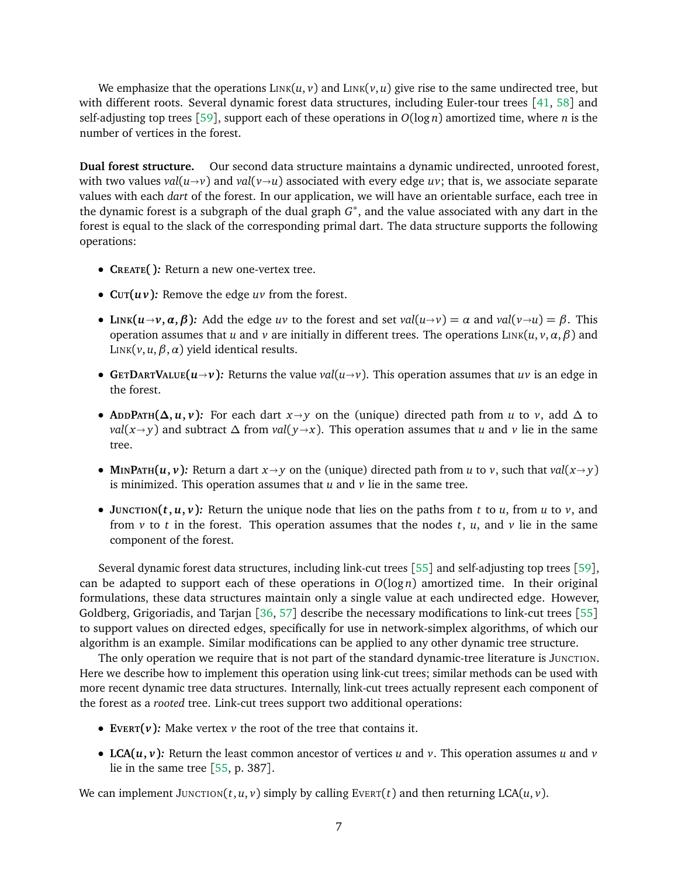We emphasize that the operations  $\text{LINK}(u, v)$  and  $\text{LINK}(v, u)$  give rise to the same undirected tree, but with different roots. Several dynamic forest data structures, including Euler-tour trees [[41,](#page-29-15) [58](#page-30-9)] and self-adjusting top trees [[59](#page-30-4)], support each of these operations in  $O(\log n)$  amortized time, where *n* is the number of vertices in the forest.

**Dual forest structure.** Our second data structure maintains a dynamic undirected, unrooted forest, with two values  $val(u\rightarrow v)$  and  $val(v\rightarrow u)$  associated with every edge uv; that is, we associate separate values with each *dart* of the forest. In our application, we will have an orientable surface, each tree in the dynamic forest is a subgraph of the dual graph *G* ∗ , and the value associated with any dart in the forest is equal to the slack of the corresponding primal dart. The data structure supports the following operations:

- **CREATE( )***:* Return a new one-vertex tree.
- **CUT(***u v***)***:* Remove the edge *uv* from the forest.
- LINK( $u \rightarrow v, \alpha, \beta$ ): Add the edge uv to the forest and set val( $u \rightarrow v$ ) =  $\alpha$  and val( $v \rightarrow u$ ) =  $\beta$ . This operation assumes that *u* and *v* are initially in different trees. The operations LINK(*u*, *v*,*α*,*β*) and LINK( $v, u, \beta, \alpha$ ) yield identical results.
- **GETDARTVALUE**( $u \rightarrow v$ ): Returns the value *val*( $u \rightarrow v$ ). This operation assumes that  $uv$  is an edge in the forest.
- **A**<sub>D</sub>**P**ATH( $\Delta$ , *u*, *v*): For each dart *x* $\rightarrow$ *y* on the (unique) directed path from *u* to *v*, add  $\Delta$  to *val*( $x \rightarrow y$ ) and subtract  $\Delta$  from *val*( $y \rightarrow x$ ). This operation assumes that *u* and *v* lie in the same tree.
- **MINPATH** $(u, v)$ : Return a dart  $x \rightarrow y$  on the (unique) directed path from *u* to *v*, such that *val*( $x \rightarrow y$ ) is minimized. This operation assumes that *u* and *v* lie in the same tree.
- **JUNCTION** $(t, u, v)$ : Return the unique node that lies on the paths from *t* to *u*, from *u* to *v*, and from  $\nu$  to *t* in the forest. This operation assumes that the nodes *t*, *u*, and  $\nu$  lie in the same component of the forest.

Several dynamic forest data structures, including link-cut trees [[55](#page-30-3)] and self-adjusting top trees [[59](#page-30-4)], can be adapted to support each of these operations in  $O(log n)$  amortized time. In their original formulations, these data structures maintain only a single value at each undirected edge. However, Goldberg, Grigoriadis, and Tarjan [[36,](#page-29-16) [57](#page-30-10)] describe the necessary modifications to link-cut trees [[55](#page-30-3)] to support values on directed edges, specifically for use in network-simplex algorithms, of which our algorithm is an example. Similar modifications can be applied to any other dynamic tree structure.

The only operation we require that is not part of the standard dynamic-tree literature is JUNCTION. Here we describe how to implement this operation using link-cut trees; similar methods can be used with more recent dynamic tree data structures. Internally, link-cut trees actually represent each component of the forest as a *rooted* tree. Link-cut trees support two additional operations:

- **EVERT(** $\nu$ **):** Make vertex  $\nu$  the root of the tree that contains it.
- LCA $(u, v)$ : Return the least common ancestor of vertices  $u$  and  $v$ . This operation assumes  $u$  and  $v$ lie in the same tree  $[55, p. 387]$  $[55, p. 387]$  $[55, p. 387]$ .

We can implement JUNCTION( $t, u, v$ ) simply by calling EVERT( $t$ ) and then returning LCA( $u, v$ ).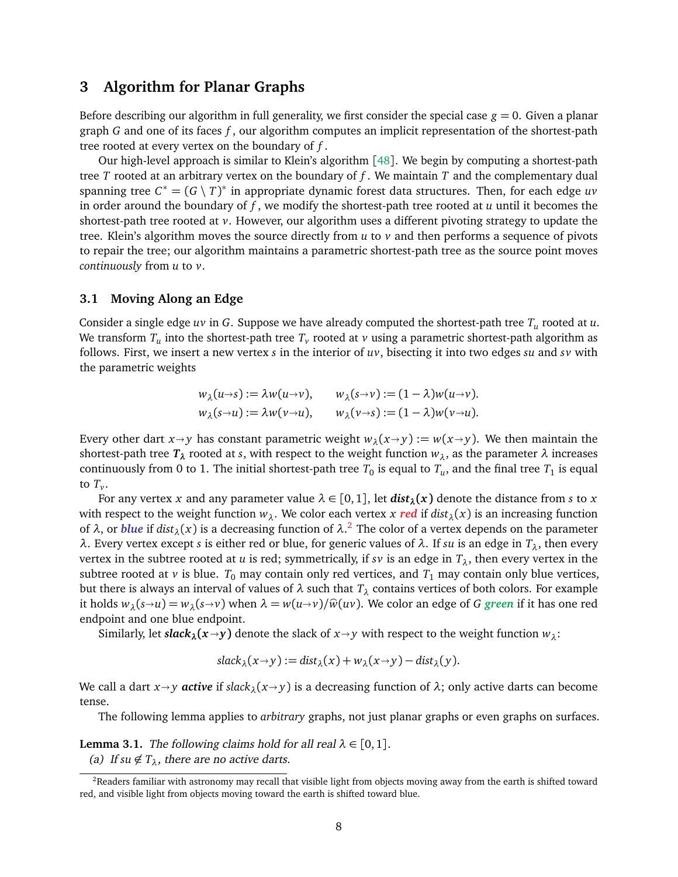# <span id="page-8-0"></span>**3 Algorithm for Planar Graphs**

Before describing our algorithm in full generality, we first consider the special case  $g = 0$ . Given a planar graph *G* and one of its faces *f* , our algorithm computes an implicit representation of the shortest-path tree rooted at every vertex on the boundary of *f* .

Our high-level approach is similar to Klein's algorithm [[48](#page-29-1)]. We begin by computing a shortest-path tree *T* rooted at an arbitrary vertex on the boundary of *f* . We maintain *T* and the complementary dual spanning tree  $C^* = (G \setminus T)^*$  in appropriate dynamic forest data structures. Then, for each edge *uv* in order around the boundary of *f* , we modify the shortest-path tree rooted at *u* until it becomes the shortest-path tree rooted at *v*. However, our algorithm uses a different pivoting strategy to update the tree. Klein's algorithm moves the source directly from *u* to *v* and then performs a sequence of pivots to repair the tree; our algorithm maintains a parametric shortest-path tree as the source point moves *continuously* from *u* to *v*.

#### <span id="page-8-3"></span>**3.1 Moving Along an Edge**

Consider a single edge *uv* in *G*. Suppose we have already computed the shortest-path tree *T<sup>u</sup>* rooted at *u*. We transform  $T_u$  into the shortest-path tree  $T_v$  rooted at  $v$  using a parametric shortest-path algorithm as follows. First, we insert a new vertex *s* in the interior of *uv*, bisecting it into two edges *su* and *sv* with the parametric weights

$$
w_{\lambda}(u\rightarrow s) := \lambda w(u\rightarrow v), \qquad w_{\lambda}(s\rightarrow v) := (1-\lambda)w(u\rightarrow v).
$$
  

$$
w_{\lambda}(s\rightarrow u) := \lambda w(v\rightarrow u), \qquad w_{\lambda}(v\rightarrow s) := (1-\lambda)w(v\rightarrow u).
$$

Every other dart  $x \rightarrow y$  has constant parametric weight  $w_{\lambda}(x \rightarrow y) := w(x \rightarrow y)$ . We then maintain the shortest-path tree  $T_{\lambda}$  rooted at *s*, with respect to the weight function  $w_{\lambda}$ , as the parameter  $\lambda$  increases continuously from 0 to 1. The initial shortest-path tree  $T_0$  is equal to  $T_u$ , and the final tree  $T_1$  is equal to  $T_{\nu}$ .

For any vertex *x* and any parameter value  $\lambda \in [0,1]$ , let  $dist_{\lambda}(x)$  denote the distance from *s* to *x* with respect to the weight function  $w_{\lambda}$ . We color each vertex *x* red if  $dist_{\lambda}(x)$  is an increasing function of *λ*, or *blue* if *distλ*(*x*) is a decreasing function of *λ*. [2](#page-8-1) The color of a vertex depends on the parameter *λ*. Every vertex except *s* is either red or blue, for generic values of *λ*. If *su* is an edge in *Tλ*, then every vertex in the subtree rooted at *u* is red; symmetrically, if *sv* is an edge in  $T_{\lambda}$ , then every vertex in the subtree rooted at *v* is blue.  $T_0$  may contain only red vertices, and  $T_1$  may contain only blue vertices, but there is always an interval of values of *λ* such that *T<sup>λ</sup>* contains vertices of both colors. For example it holds  $w_{\lambda}(s\rightarrow u) = w_{\lambda}(s\rightarrow v)$  when  $\lambda = w(u\rightarrow v)/\hat{w}(uv)$ . We color an edge of *G* green if it has one red endpoint and one blue endpoint.

Similarly, let *slack*<sub>*λ*</sub> $(x \rightarrow y)$  denote the slack of  $x \rightarrow y$  with respect to the weight function  $w_{\lambda}$ :

$$
slack_{\lambda}(x \to y) := dist_{\lambda}(x) + w_{\lambda}(x \to y) - dist_{\lambda}(y).
$$

We call a dart  $x \rightarrow y$  *active* if *slack*<sub> $\lambda$ </sub>( $x \rightarrow y$ ) is a decreasing function of  $\lambda$ ; only active darts can become tense.

The following lemma applies to *arbitrary* graphs, not just planar graphs or even graphs on surfaces.

<span id="page-8-2"></span>**Lemma 3.1.** The following claims hold for all real  $\lambda \in [0, 1]$ .

(a) If  $su \notin T_\lambda$ , there are no active darts.

<span id="page-8-1"></span><sup>&</sup>lt;sup>2</sup>Readers familiar with astronomy may recall that visible light from objects moving away from the earth is shifted toward red, and visible light from objects moving toward the earth is shifted toward blue.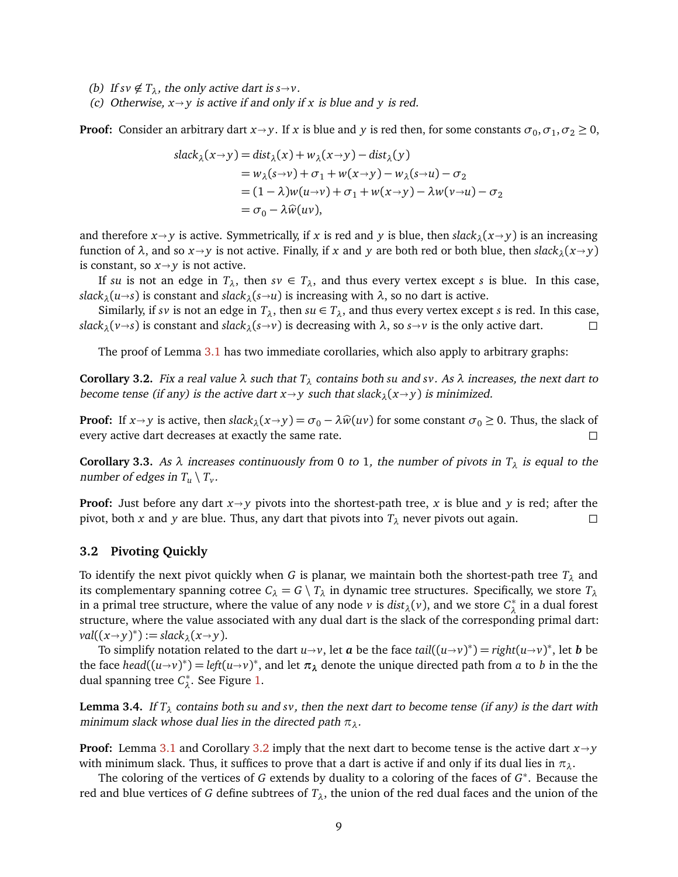- (b) If  $s \nu \notin T_{\lambda}$ , the only active dart is  $s \rightarrow \nu$ .
- (c) Otherwise,  $x \rightarrow y$  is active if and only if x is blue and y is red.

**Proof:** Consider an arbitrary dart  $x \rightarrow y$ . If *x* is blue and *y* is red then, for some constants  $\sigma_0$ ,  $\sigma_1$ ,  $\sigma_2 \ge 0$ ,

$$
\begin{aligned}\n\text{slack}_{\lambda}(x \to y) &= \text{dist}_{\lambda}(x) + w_{\lambda}(x \to y) - \text{dist}_{\lambda}(y) \\
&= w_{\lambda}(s \to v) + \sigma_1 + w(x \to y) - w_{\lambda}(s \to u) - \sigma_2 \\
&= (1 - \lambda)w(u \to v) + \sigma_1 + w(x \to y) - \lambda w(v \to u) - \sigma_2 \\
&= \sigma_0 - \lambda \widehat{w}(uv),\n\end{aligned}
$$

and therefore  $x \rightarrow y$  is active. Symmetrically, if *x* is red and *y* is blue, then *slack*<sub>*λ*</sub>( $x \rightarrow y$ ) is an increasing function of  $\lambda$ , and so  $x \rightarrow y$  is not active. Finally, if x and y are both red or both blue, then  $slack_{\lambda}(x \rightarrow y)$ is constant, so  $x \rightarrow y$  is not active.

If *su* is not an edge in  $T_{\lambda}$ , then  $s\nu \in T_{\lambda}$ , and thus every vertex except *s* is blue. In this case, *slack*<sub> $\lambda$ </sub>( $u \rightarrow s$ ) is constant and *slack*<sub> $\lambda$ </sub>( $s \rightarrow u$ ) is increasing with  $\lambda$ , so no dart is active.

Similarly, if *sv* is not an edge in  $T_\lambda$ , then  $su \in T_\lambda$ , and thus every vertex except *s* is red. In this case, *slack*<sub>*λ*</sub>(*v* $\rightarrow$ *s*) is constant and *slack*<sub>*λ*</sub>(*s* $\rightarrow$ *v*) is decreasing with  $\lambda$ , so *s* $\rightarrow$ *v* is the only active dart.

The proof of Lemma [3.1](#page-8-2) has two immediate corollaries, which also apply to arbitrary graphs:

<span id="page-9-0"></span>**Corollary 3.2.** Fix a real value  $\lambda$  such that  $T_{\lambda}$  contains both su and *sv*. As  $\lambda$  increases, the next dart to become tense (if any) is the active dart  $x \rightarrow y$  such that slack<sub> $\lambda$ </sub>( $x \rightarrow y$ ) is minimized.

**Proof:** If  $x \rightarrow y$  is active, then  $slack_{\lambda}(x \rightarrow y) = \sigma_0 - \lambda \hat{w}(uv)$  for some constant  $\sigma_0 \ge 0$ . Thus, the slack of every active dart decreases at exactly the same rate. every active dart decreases at exactly the same rate.

**Corollary 3.3.** As  $\lambda$  increases continuously from 0 to 1, the number of pivots in  $T_{\lambda}$  is equal to the number of edges in  $T_u \setminus T_v$ .

**Proof:** Just before any dart  $x \rightarrow y$  pivots into the shortest-path tree, *x* is blue and *y* is red; after the pivot, both *x* and *y* are blue. Thus, any dart that pivots into  $T_2$  never pivots out again. pivot, both *x* and *y* are blue. Thus, any dart that pivots into *T<sup>λ</sup>* never pivots out again.

#### **3.2 Pivoting Quickly**

To identify the next pivot quickly when *G* is planar, we maintain both the shortest-path tree *T<sup>λ</sup>* and its complementary spanning cotree  $C_{\lambda} = G \setminus T_{\lambda}$  in dynamic tree structures. Specifically, we store  $T_{\lambda}$ in a primal tree structure, where the value of any node *v* is  $dist_\lambda(v)$ , and we store  $C_\lambda^*$ *λ* in a dual forest structure, where the value associated with any dual dart is the slack of the corresponding primal dart:  $val((x \rightarrow y)^*) := slack_{\lambda}(x \rightarrow y).$ <br>
To simplify notation relate

To simplify notation related to the dart  $u \rightarrow v$ , let *a* be the face *tail*( $(u \rightarrow v)^*$ ) = *right*( $u \rightarrow v$ )<sup>\*</sup>, let *b* be the face head( $(u \rightarrow v)^*$ ) = *let*( $u \rightarrow v$ )<sup>\*</sup>, let *b* be the face *head*( $(u \rightarrow v)^*$ ) = *left*( $u \rightarrow v$ )<sup>\*</sup>, and let  $\pi_\lambda$  denote the unique directed path from *a* to *b* in the the dual spanning tree *C* ∗ *λ* . See Figure [1.](#page-10-0)

**Lemma 3.4.** If  $T_\lambda$  contains both su and *sv*, then the next dart to become tense (if any) is the dart with minimum slack whose dual lies in the directed path *πλ*.

**Proof:** Lemma [3.1](#page-8-2) and Corollary [3.2](#page-9-0) imply that the next dart to become tense is the active dart  $x \rightarrow y$ with minimum slack. Thus, it suffices to prove that a dart is active if and only if its dual lies in  $\pi_{\lambda}$ .

The coloring of the vertices of *G* extends by duality to a coloring of the faces of *G* ∗ . Because the red and blue vertices of *G* define subtrees of  $T_{\lambda}$ , the union of the red dual faces and the union of the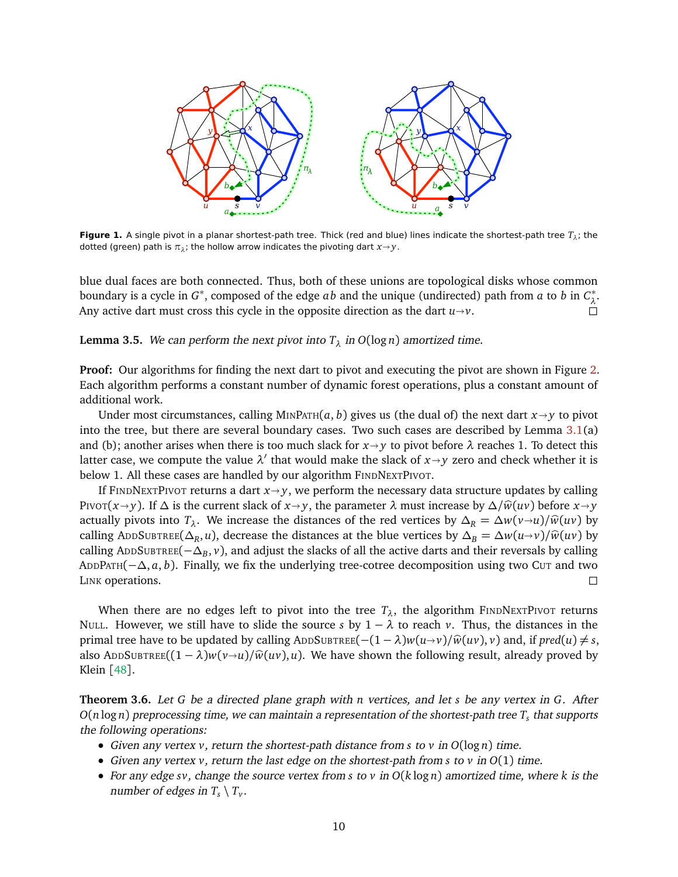

<span id="page-10-0"></span>**Figure 1.** A single pivot in a planar shortest-path tree. Thick (red and blue) lines indicate the shortest-path tree *T<sup>λ</sup>* ; the dotted (green) path is  $\pi_{\lambda}$ ; the hollow arrow indicates the pivoting dart  $x{\rightarrow}y$ .

blue dual faces are both connected. Thus, both of these unions are topological disks whose common boundary is a cycle in *G* ∗ , composed of the edge *ab* and the unique (undirected) path from *a* to *b* in *C* ∗ *λ* . Any active dart must cross this cycle in the opposite direction as the dart  $u \rightarrow v$ .

**Lemma 3.5.** We can perform the next pivot into  $T_{\lambda}$  in  $O(\log n)$  amortized time.

**Proof:** Our algorithms for finding the next dart to pivot and executing the pivot are shown in Figure [2.](#page-11-0) Each algorithm performs a constant number of dynamic forest operations, plus a constant amount of additional work.

Under most circumstances, calling MINPATH $(a, b)$  gives us (the dual of) the next dart  $x \rightarrow y$  to pivot into the tree, but there are several boundary cases. Two such cases are described by Lemma [3.1\(](#page-8-2)a) and (b); another arises when there is too much slack for  $x \rightarrow y$  to pivot before  $\lambda$  reaches 1. To detect this latter case, we compute the value  $\lambda'$  that would make the slack of  $x \rightarrow y$  zero and check whether it is below 1. All these cases are handled by our algorithm FINDNEXTPIVOT.

If FINDNEXTPIVOT returns a dart  $x \rightarrow y$ , we perform the necessary data structure updates by calling PIVOT( $x \rightarrow y$ ). If  $\Delta$  is the current slack of  $x \rightarrow y$ , the parameter  $\lambda$  must increase by  $\Delta/\hat{w}(uv)$  before  $x \rightarrow y$ actually pivots into  $T_\lambda$ . We increase the distances of the red vertices by  $\Delta_R = \Delta w(v \rightarrow u)/\hat{w}(uv)$  by calling ADDSUBTREE( $\Delta_R$ , *u*), decrease the distances at the blue vertices by  $\Delta_B = \Delta w (u\rightarrow v) / \hat{w}(uv)$  by calling  $\Delta_{R}$ . calling ADDSUBTREE(−∆*<sup>B</sup>* , *v*), and adjust the slacks of all the active darts and their reversals by calling ADDPATH(−∆, *a*, *b*). Finally, we fix the underlying tree-cotree decomposition using two CUT and two LINK operations.

When there are no edges left to pivot into the tree  $T_{\lambda}$ , the algorithm FINDNEXTPIVOT returns NULL. However, we still have to slide the source *s* by  $1 - \lambda$  to reach *v*. Thus, the distances in the primal tree have to be updated by calling ADDSUBTREE $(-(1 - \lambda)w(u \rightarrow v)/\hat{w}(uv), v)$  and, if  $pred(u) \neq s$ , also ADDSUBTREE $((1 - \lambda)w(v\rightarrow u)/\hat{w}(uv), u)$ . We have shown the following result, already proved by Klein [[48](#page-29-1)].

**Theorem 3.6.** Let *G* be a directed plane graph with *n* vertices, and let *s* be any vertex in *G*. After *O*(*n* log *n*) preprocessing time, we can maintain a representation of the shortest-path tree *T<sup>s</sup>* that supports the following operations:

- Given any vertex *v*, return the shortest-path distance from *s* to *v* in *O*(log *n*) time.
- Given any vertex *v*, return the last edge on the shortest-path from *s* to *v* in *O*(1) time.
- For any edge *sv*, change the source vertex from *s* to *v* in *O*(*k* log *n*) amortized time, where *k* is the number of edges in  $T_s \setminus T_v$ .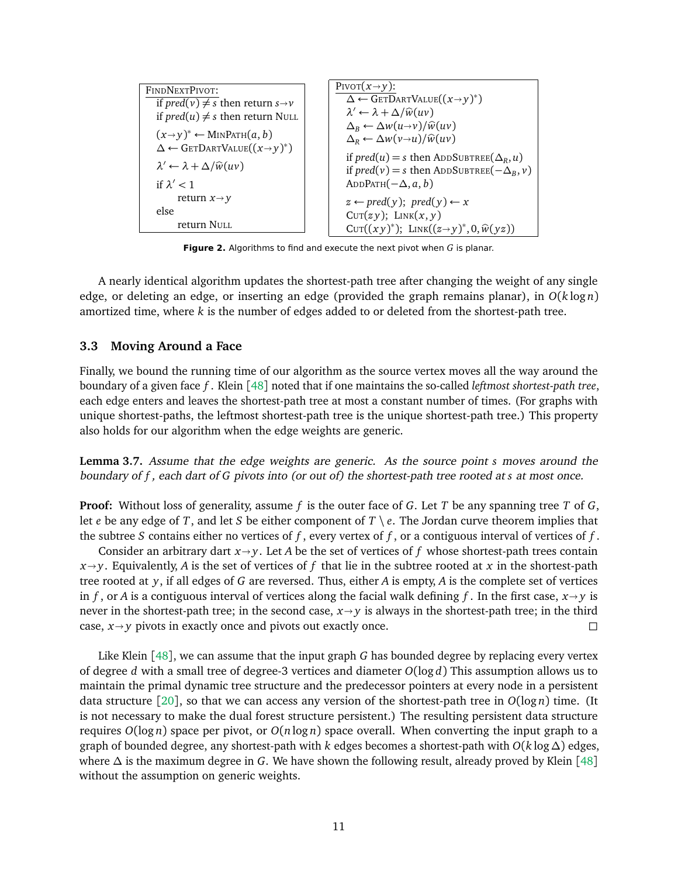| FINDNEXTPivot:                                        |                                                                 |
|-------------------------------------------------------|-----------------------------------------------------------------|
| if pred(v) $\neq s$ then return $s \rightarrow v$     | \n $\Delta \leftarrow \text{GETDARTVALUE}((x \rightarrow y)^*)$ |
| if pred(u) $\neq s$ then return NULL                  | \n $\lambda' \leftarrow \lambda + \Delta/\hat{w}(uv)$           |
| $(x \rightarrow y)^* \leftarrow \text{MINPATH}(a, b)$ | \n $\Delta_B \leftarrow \Delta w(u \rightarrow v)/\hat{w}(uv)$  |
| $\lambda' \leftarrow \lambda + \Delta/\hat{w}(uv)$    | \n $\Delta_B \leftarrow \Delta w(v \rightarrow u)/\hat{w}(uv)$  |
| $\lambda' \leftarrow \lambda + \Delta/\hat{w}(uv)$    | \n $\Delta_B \leftarrow \Delta w(v \rightarrow u)/\hat{w}(uv)$  |
| $\lambda' \leftarrow \lambda + \Delta/\hat{w}(uv)$    | \n $\Delta_B \leftarrow \Delta w(v \rightarrow u)/\hat{w}(uv)$  |
| if pred(u) = s then ADDSUBTREE}(\Delta_R, u)          |                                                                 |
| if pred(v) = s then ADDSUBTREE(-\Delta_B, v)          |                                                                 |
| if pred(v) = s then ADDSUBTREE(-\Delta_B, v)          |                                                                 |
| else                                                  | \n $\Delta_B \leftarrow \text{Part}(v) \leftarrow x$            |
| else                                                  | \n $\Delta_B \leftarrow \text{Part}(v) \leftarrow x$            |
| 0                                                     | \n $\Delta_B \leftarrow \text{Part}(v) \leftarrow y$            |
| 0                                                     | \n $\Delta_B \leftarrow \text{Part}(v) \leftarrow y$            |
| 0                                                     | \n $\Delta_B \leftarrow \text{Part}(v) \leftarrow y$            |
| 0                                                     | \n $\Delta_B \leftarrow \text{Part}(v) \leftarrow y$            |
| 0                                                     | \n $\$                                                          |

<span id="page-11-0"></span>**Figure 2.** Algorithms to find and execute the next pivot when *G* is planar.

A nearly identical algorithm updates the shortest-path tree after changing the weight of any single edge, or deleting an edge, or inserting an edge (provided the graph remains planar), in *O*(*k* log *n*) amortized time, where *k* is the number of edges added to or deleted from the shortest-path tree.

#### **3.3 Moving Around a Face**

Finally, we bound the running time of our algorithm as the source vertex moves all the way around the boundary of a given face *f* . Klein [[48](#page-29-1)] noted that if one maintains the so-called *leftmost shortest-path tree*, each edge enters and leaves the shortest-path tree at most a constant number of times. (For graphs with unique shortest-paths, the leftmost shortest-path tree is the unique shortest-path tree.) This property also holds for our algorithm when the edge weights are generic.

<span id="page-11-1"></span>**Lemma 3.7.** Assume that the edge weights are generic. As the source point *s* moves around the boundary of *f* , each dart of *G* pivots into (or out of) the shortest-path tree rooted at *s* at most once.

**Proof:** Without loss of generality, assume *f* is the outer face of *G*. Let *T* be any spanning tree *T* of *G*, let *e* be any edge of *T*, and let *S* be either component of *T* \ *e*. The Jordan curve theorem implies that the subtree *S* contains either no vertices of *f* , every vertex of *f* , or a contiguous interval of vertices of *f* .

Consider an arbitrary dart  $x \rightarrow y$ . Let *A* be the set of vertices of *f* whose shortest-path trees contain  $x \rightarrow y$ . Equivalently, *A* is the set of vertices of *f* that lie in the subtree rooted at *x* in the shortest-path tree rooted at *y*, if all edges of *G* are reversed. Thus, either *A* is empty, *A* is the complete set of vertices in *f*, or *A* is a contiguous interval of vertices along the facial walk defining *f*. In the first case,  $x \rightarrow y$  is never in the shortest-path tree; in the second case, *x* $\rightarrow$ *y* is always in the shortest-path tree; in the third case, *x* $\rightarrow$ *y* pivots in exactly once and pivots out exactly once. case,  $x \rightarrow y$  pivots in exactly once and pivots out exactly once.

Like Klein [[48](#page-29-1)], we can assume that the input graph *G* has bounded degree by replacing every vertex of degree *d* with a small tree of degree-3 vertices and diameter *O*(log *d*) This assumption allows us to maintain the primal dynamic tree structure and the predecessor pointers at every node in a persistent data structure [[20](#page-28-4)], so that we can access any version of the shortest-path tree in  $O(\log n)$  time. (It is not necessary to make the dual forest structure persistent.) The resulting persistent data structure requires *O*(log *n*) space per pivot, or *O*(*n* log *n*) space overall. When converting the input graph to a graph of bounded degree, any shortest-path with *k* edges becomes a shortest-path with  $O(k \log \Delta)$  edges, where ∆ is the maximum degree in *G*. We have shown the following result, already proved by Klein [[48](#page-29-1)] without the assumption on generic weights.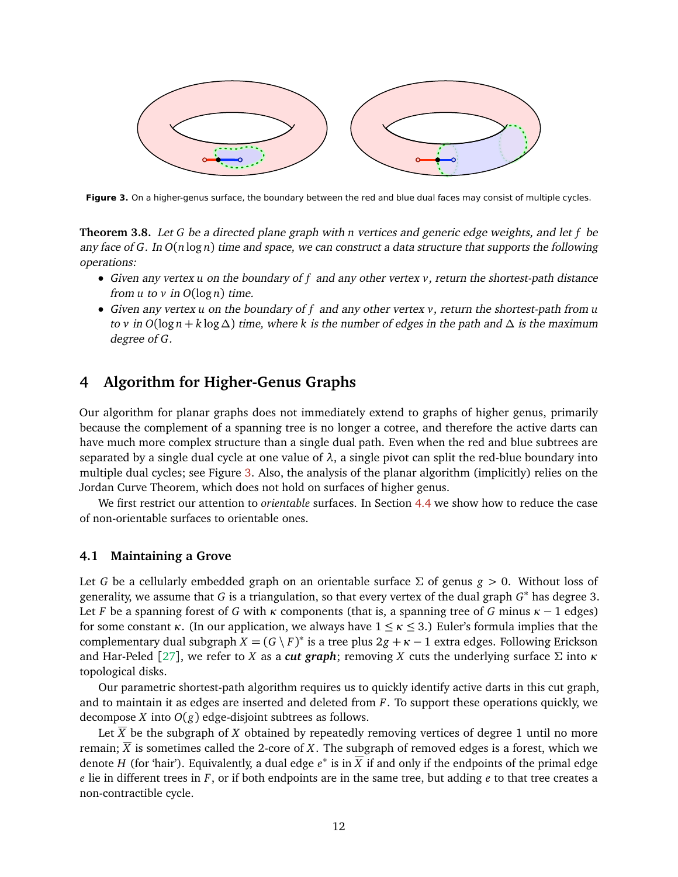

<span id="page-12-1"></span>**Figure 3.** On a higher-genus surface, the boundary between the red and blue dual faces may consist of multiple cycles.

**Theorem 3.8.** Let *G* be a directed plane graph with *n* vertices and generic edge weights, and let *f* be any face of *G*. In *O*(*n* log *n*) time and space, we can construct a data structure that supports the following operations:

- Given any vertex *u* on the boundary of *f* and any other vertex *v*, return the shortest-path distance from  $u$  to  $v$  in  $O(\log n)$  time.
- Given any vertex *u* on the boundary of *f* and any other vertex *v*, return the shortest-path from *u* to *v* in  $O(\log n + k \log \Delta)$  time, where k is the number of edges in the path and  $\Delta$  is the maximum degree of *G*.

# <span id="page-12-0"></span>**4 Algorithm for Higher-Genus Graphs**

Our algorithm for planar graphs does not immediately extend to graphs of higher genus, primarily because the complement of a spanning tree is no longer a cotree, and therefore the active darts can have much more complex structure than a single dual path. Even when the red and blue subtrees are separated by a single dual cycle at one value of  $\lambda$ , a single pivot can split the red-blue boundary into multiple dual cycles; see Figure [3.](#page-12-1) Also, the analysis of the planar algorithm (implicitly) relies on the Jordan Curve Theorem, which does not hold on surfaces of higher genus.

We first restrict our attention to *orientable* surfaces. In Section [4.4](#page-17-0) we show how to reduce the case of non-orientable surfaces to orientable ones.

#### **4.1 Maintaining a Grove**

Let *G* be a cellularly embedded graph on an orientable surface  $\Sigma$  of genus  $g > 0$ . Without loss of generality, we assume that *G* is a triangulation, so that every vertex of the dual graph *G* <sup>∗</sup> has degree 3. Let *F* be a spanning forest of *G* with *κ* components (that is, a spanning tree of *G* minus  $\kappa - 1$  edges) for some constant *κ*. (In our application, we always have  $1 \leq \kappa \leq 3$ .) Euler's formula implies that the complementary dual subgraph  $X = (G \setminus F)^*$  is a tree plus  $2g + \kappa - 1$  extra edges. Following Erickson and Har-Peled [[27](#page-28-5)], we refer to *X* as a *cut graph*; removing *X* cuts the underlying surface Σ into *κ* topological disks.

Our parametric shortest-path algorithm requires us to quickly identify active darts in this cut graph, and to maintain it as edges are inserted and deleted from *F*. To support these operations quickly, we decompose *X* into *O*(*g*) edge-disjoint subtrees as follows.

Let  $\overline{X}$  be the subgraph of *X* obtained by repeatedly removing vertices of degree 1 until no more remain;  $\overline{X}$  is sometimes called the 2-core of X. The subgraph of removed edges is a forest, which we denote *H* (for 'hair'). Equivalently, a dual edge *e* ∗ is in *X* if and only if the endpoints of the primal edge *e* lie in different trees in *F*, or if both endpoints are in the same tree, but adding *e* to that tree creates a non-contractible cycle.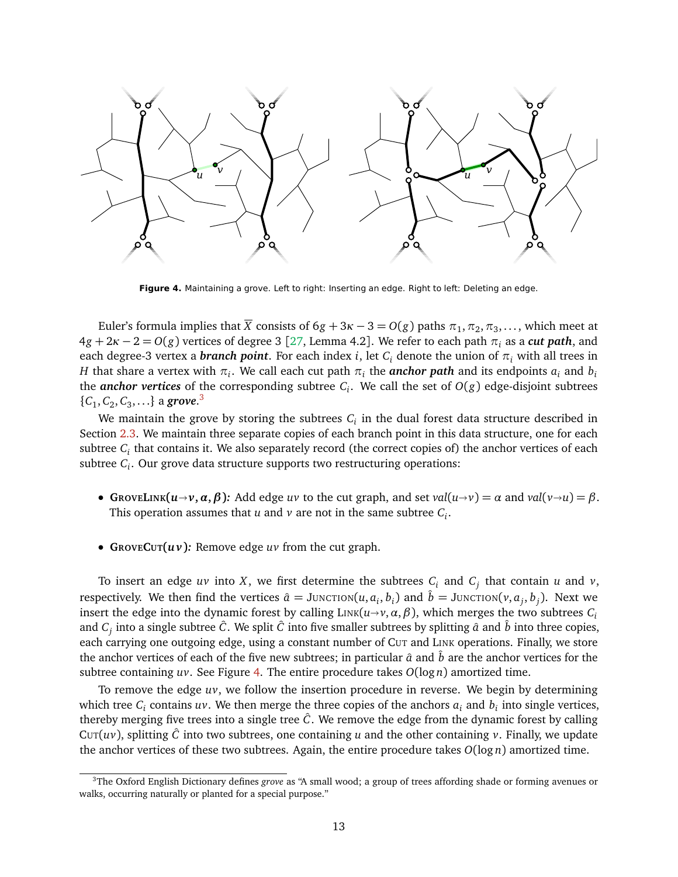

<span id="page-13-1"></span>**Figure 4.** Maintaining a grove. Left to right: Inserting an edge. Right to left: Deleting an edge.

Euler's formula implies that  $\overline{X}$  consists of 6 $g+3\kappa-3=O(g)$  paths  $\pi_1,\pi_2,\pi_3,\ldots,$  which meet at  $4g + 2k - 2 = O(g)$  vertices of degree 3 [[27,](#page-28-5) Lemma 4.2]. We refer to each path  $\pi_i$  as a *cut path*, and each degree-3 vertex a *branch point*. For each index *i*, let  $C_i$  denote the union of  $\pi_i$  with all trees in *H* that share a vertex with  $\pi_i$ . We call each cut path  $\pi_i$  the *anchor path* and its endpoints  $a_i$  and  $b_i$ the *anchor vertices* of the corresponding subtree  $C_i$ . We call the set of  $O(g)$  edge-disjoint subtrees  $\{C_1, C_2, C_3, \ldots\}$  $\{C_1, C_2, C_3, \ldots\}$  $\{C_1, C_2, C_3, \ldots\}$  a **grove**.<sup>3</sup>

We maintain the grove by storing the subtrees  $C_i$  in the dual forest data structure described in Section [2.3.](#page-6-1) We maintain three separate copies of each branch point in this data structure, one for each subtree *C<sup>i</sup>* that contains it. We also separately record (the correct copies of) the anchor vertices of each subtree *C<sup>i</sup>* . Our grove data structure supports two restructuring operations:

- GROVELINK $(u \rightarrow v, \alpha, \beta)$ : Add edge uv to the cut graph, and set val $(u \rightarrow v) = \alpha$  and val $(v \rightarrow u) = \beta$ . This operation assumes that  $u$  and  $v$  are not in the same subtree  $C_i$ .
- **GROVECUT(***u v***)***:* Remove edge *uv* from the cut graph.

To insert an edge  $uv$  into  $X$ , we first determine the subtrees  $C_i$  and  $C_j$  that contain  $u$  and  $v$ , respectively. We then find the vertices  $\hat{a} = J$ unction $(u, a_i, b_i)$  and  $\hat{b} = J$ unction $(v, a_j, b_j)$ . Next we insert the edge into the dynamic forest by calling  $\text{Link}(u \rightarrow v, \alpha, \beta)$ , which merges the two subtrees  $C_i$ and  $C_j$  into a single subtree  $\hat{C}$ . We split  $\hat{C}$  into five smaller subtrees by splitting  $\hat{a}$  and  $\hat{b}$  into three copies, each carrying one outgoing edge, using a constant number of CUT and LINK operations. Finally, we store the anchor vertices of each of the five new subtrees; in particular  $\hat{a}$  and  $\hat{b}$  are the anchor vertices for the subtree containing *uv*. See Figure [4.](#page-13-1) The entire procedure takes *O*(log *n*) amortized time.

To remove the edge *uv*, we follow the insertion procedure in reverse. We begin by determining which tree  $C_i$  contains  $uv$ . We then merge the three copies of the anchors  $a_i$  and  $b_i$  into single vertices, thereby merging five trees into a single tree  $\hat{C}$ . We remove the edge from the dynamic forest by calling CUT( $uv$ ), splitting  $\ddot{C}$  into two subtrees, one containing *u* and the other containing *v*. Finally, we update the anchor vertices of these two subtrees. Again, the entire procedure takes *O*(log *n*) amortized time.

<span id="page-13-0"></span><sup>3</sup>The Oxford English Dictionary defines *grove* as "A small wood; a group of trees affording shade or forming avenues or walks, occurring naturally or planted for a special purpose."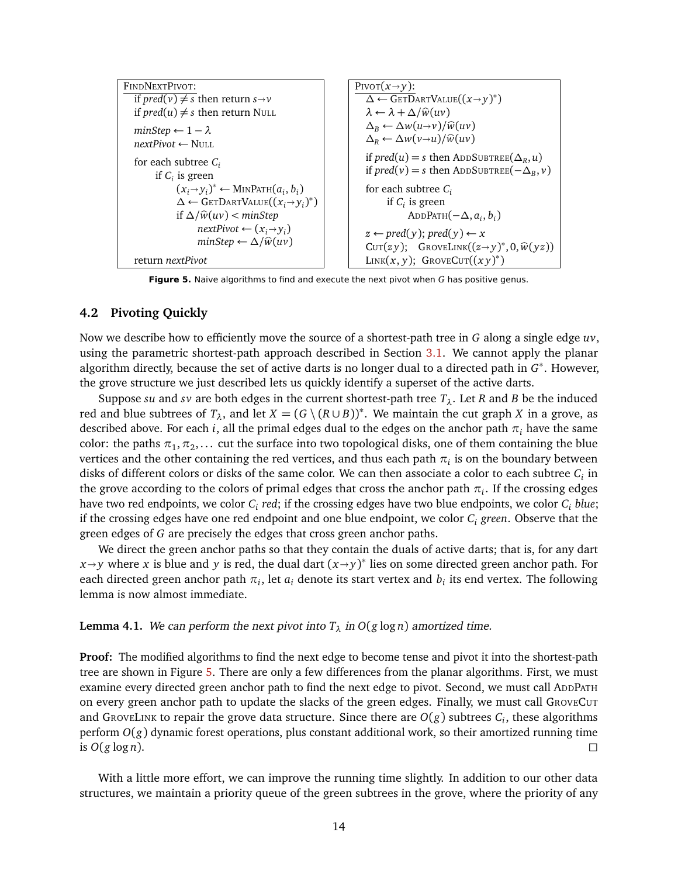| FINDNEXTPIVOT:                                                                                | PIVOT $(x \rightarrow y)$ :                                                                                                         |
|-----------------------------------------------------------------------------------------------|-------------------------------------------------------------------------------------------------------------------------------------|
| if $pred(v) \neq s$ then return $s \rightarrow v$                                             | $\Delta \leftarrow$ GETDARTVALUE $((x \rightarrow y)^*)$                                                                            |
| if $pred(u) \neq s$ then return NULL                                                          | $\lambda \leftarrow \lambda + \Delta / \hat{w}(uv)$                                                                                 |
| $minStep \leftarrow 1 - \lambda$<br>$nextPivot \leftarrow \text{NILL}$                        | $\Delta_R \leftarrow \Delta w(u\rightarrow v)/\widehat{w}(uv)$<br>$\Delta_R \leftarrow \Delta w(v \rightarrow u) / \widehat{w}(uv)$ |
| for each subtree $C_i$<br>if $C_i$ is green                                                   | if $pred(u) = s$ then ADDSUBTREE( $\Delta_R, u$ )<br>if $pred(v) = s$ then ADDSUBTREE( $-\Delta_B$ , v)                             |
| $(x_i \rightarrow y_i)^* \leftarrow \text{MINPATH}(a_i, b_i)$                                 | for each subtree $C_i$                                                                                                              |
| $\Delta \leftarrow$ GETDARTVALUE $((x_i \rightarrow y_i)^*)$                                  | if $C_i$ is green                                                                                                                   |
| if $\Delta/\widehat{w}(uv) < minStep$                                                         | ADDPATH $(-\Delta, a_i, b_i)$                                                                                                       |
| $nextPivot \leftarrow (x_i \rightarrow y_i)$<br>$minStep \leftarrow \Delta / \widehat{w}(uv)$ | $z \leftarrow pred(y); pred(y) \leftarrow x$<br>CUT(zy); GROVELINK $((z \rightarrow y)^*, 0, \hat{w}(yz))$                          |
| return <i>nextPivot</i>                                                                       | LINK $(x, y)$ ; GROVECUT $((xy)^*)$                                                                                                 |

<span id="page-14-0"></span>**Figure 5.** Naive algorithms to find and execute the next pivot when *G* has positive genus.

#### <span id="page-14-1"></span>**4.2 Pivoting Quickly**

Now we describe how to efficiently move the source of a shortest-path tree in *G* along a single edge *uv*, using the parametric shortest-path approach described in Section [3.1.](#page-8-3) We cannot apply the planar algorithm directly, because the set of active darts is no longer dual to a directed path in *G* ∗ . However, the grove structure we just described lets us quickly identify a superset of the active darts.

Suppose *su* and *sv* are both edges in the current shortest-path tree  $T_{\lambda}$ . Let *R* and *B* be the induced red and blue subtrees of  $T_\lambda$ , and let  $X = (G \setminus (R \cup B))^*$ . We maintain the cut graph *X* in a grove, as described above. For each *i*, all the primal edges dual to the edges on the anchor path *π<sup>i</sup>* have the same color: the paths  $\pi_1, \pi_2, ...$  cut the surface into two topological disks, one of them containing the blue vertices and the other containing the red vertices, and thus each path  $\pi_i$  is on the boundary between disks of different colors or disks of the same color. We can then associate a color to each subtree  $C_i$  in the grove according to the colors of primal edges that cross the anchor path  $\pi_i.$  If the crossing edges have two red endpoints, we color *C<sup>i</sup> red*; if the crossing edges have two blue endpoints, we color *C<sup>i</sup> blue*; if the crossing edges have one red endpoint and one blue endpoint, we color *C<sup>i</sup> green*. Observe that the green edges of *G* are precisely the edges that cross green anchor paths.

We direct the green anchor paths so that they contain the duals of active darts; that is, for any dart *x*<sup>*y*</sup> where *x* is blue and *y* is red, the dual dart  $(x \rightarrow y)^*$  lies on some directed green anchor path. For each directed green anchor path  $\pi_i$ , let  $a_i$  denote its start vertex and  $b_i$  its end vertex. The following lemma is now almost immediate.

### **Lemma 4.1.** We can perform the next pivot into  $T_{\lambda}$  in  $O(g \log n)$  amortized time.

**Proof:** The modified algorithms to find the next edge to become tense and pivot it into the shortest-path tree are shown in Figure [5.](#page-14-0) There are only a few differences from the planar algorithms. First, we must examine every directed green anchor path to find the next edge to pivot. Second, we must call ADDPATH on every green anchor path to update the slacks of the green edges. Finally, we must call GROVECUT and GROVELINK to repair the grove data structure. Since there are  $O(g)$  subtrees  $C_i$ , these algorithms perform *O*(*g*) dynamic forest operations, plus constant additional work, so their amortized running time is  $O(g \log n)$ .

With a little more effort, we can improve the running time slightly. In addition to our other data structures, we maintain a priority queue of the green subtrees in the grove, where the priority of any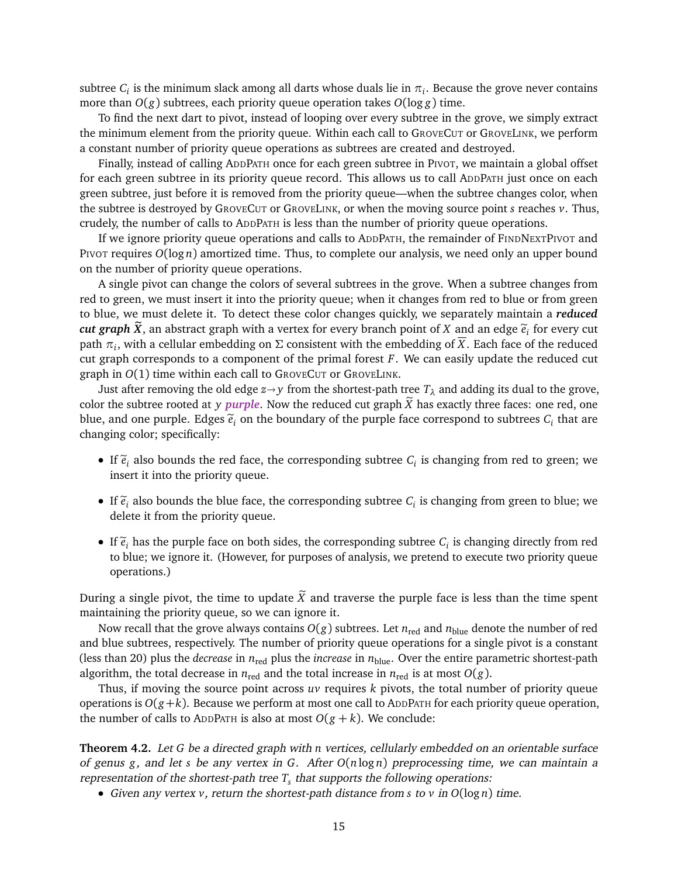subtree  $C_i$  is the minimum slack among all darts whose duals lie in  $\pi_i.$  Because the grove never contains more than  $O(g)$  subtrees, each priority queue operation takes  $O(\log g)$  time.

To find the next dart to pivot, instead of looping over every subtree in the grove, we simply extract the minimum element from the priority queue. Within each call to GROVECUT or GROVELINK, we perform a constant number of priority queue operations as subtrees are created and destroyed.

Finally, instead of calling ADDPATH once for each green subtree in PIVOT, we maintain a global offset for each green subtree in its priority queue record. This allows us to call ADDPATH just once on each green subtree, just before it is removed from the priority queue—when the subtree changes color, when the subtree is destroyed by GROVECUT or GROVELINK, or when the moving source point *s* reaches *v*. Thus, crudely, the number of calls to ADDPATH is less than the number of priority queue operations.

If we ignore priority queue operations and calls to ADDPATH, the remainder of FINDNEXTPIVOT and PIVOT requires *O*(log *n*) amortized time. Thus, to complete our analysis, we need only an upper bound on the number of priority queue operations.

A single pivot can change the colors of several subtrees in the grove. When a subtree changes from red to green, we must insert it into the priority queue; when it changes from red to blue or from green to blue, we must delete it. To detect these color changes quickly, we separately maintain a *reduced cut graph*  $\hat{X}$ , an abstract graph with a vertex for every branch point of  $X$  and an edge  $\tilde{e}_i$  for every cut<br>noth  $\sigma$ , with a sallular embadding an  $\Sigma$  consistent with the embadding of  $\overline{X}$ . Each face of t path *π<sup>i</sup>* , with a cellular embedding on Σ consistent with the embedding of *X*. Each face of the reduced cut graph corresponds to a component of the primal forest *F*. We can easily update the reduced cut graph in *O*(1) time within each call to GROVECUT or GROVELINK.

Just after removing the old edge  $z \rightarrow y$  from the shortest-path tree  $T_{\lambda}$  and adding its dual to the grove, color the subtree rooted at *y purple*. Now the reduced cut graph  $\tilde{X}$  has exactly three faces: one red, one blue, and one purple. Edges  $\widetilde{e}_i$  on the boundary of the purple face correspond to subtrees  $C_i$  that are<br>changing selem specifically: changing color; specifically:

- If  $\tilde{e}_i$  also bounds the red face, the corresponding subtree  $C_i$  is changing from red to green; we insert it into the priority guesse insert it into the priority queue.
- If  $\tilde{e}_i$  also bounds the blue face, the corresponding subtree  $C_i$  is changing from green to blue; we delete it from the priority quase. delete it from the priority queue.
- If  $\tilde{e}_i$  has the purple face on both sides, the corresponding subtree  $C_i$  is changing directly from red<br>to history is consistent to the purpose of englishing the protection of the priority quanto to blue; we ignore it. (However, for purposes of analysis, we pretend to execute two priority queue operations.)

During a single pivot, the time to update  $\widetilde{X}$  and traverse the purple face is less than the time spent maintaining the priority queue, so we can ignore it.

Now recall that the grove always contains  $O(g)$  subtrees. Let  $n_{\text{red}}$  and  $n_{\text{blue}}$  denote the number of red and blue subtrees, respectively. The number of priority queue operations for a single pivot is a constant (less than 20) plus the *decrease* in  $n_{\text{red}}$  plus the *increase* in  $n_{\text{blue}}$ . Over the entire parametric shortest-path algorithm, the total decrease in  $n_{\text{red}}$  and the total increase in  $n_{\text{red}}$  is at most  $O(g)$ .

Thus, if moving the source point across *uv* requires *k* pivots, the total number of priority queue operations is  $O(g+k)$ . Because we perform at most one call to ADDPATH for each priority queue operation, the number of calls to ADDPATH is also at most  $O(g + k)$ . We conclude:

<span id="page-15-0"></span>**Theorem 4.2.** Let *G* be a directed graph with *n* vertices, cellularly embedded on an orientable surface of genus *g*, and let *s* be any vertex in *G*. After *O*(*n* log *n*) preprocessing time, we can maintain a representation of the shortest-path tree *T<sup>s</sup>* that supports the following operations:

• Given any vertex *v*, return the shortest-path distance from *s* to *v* in *O*(log *n*) time.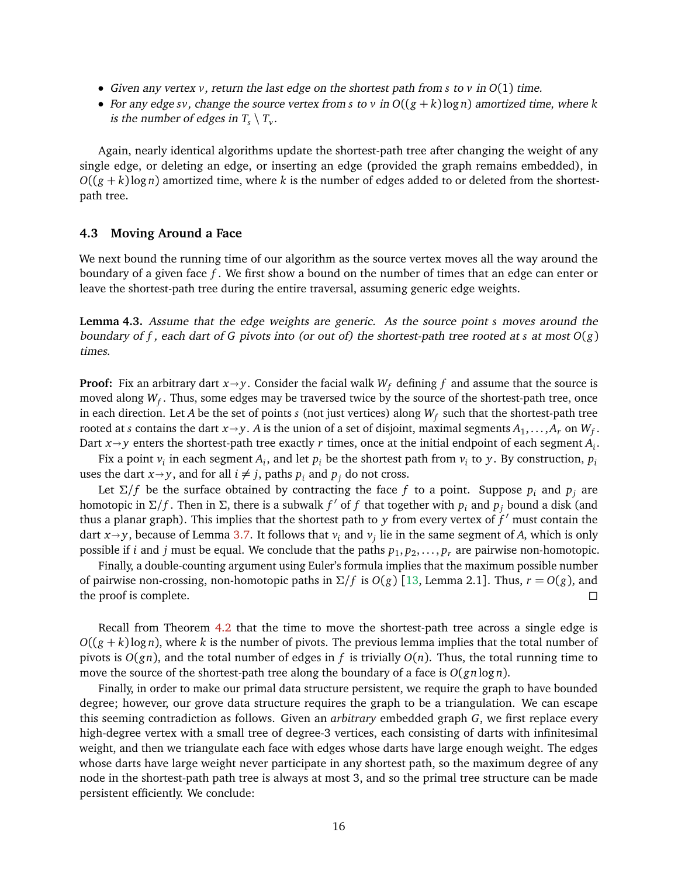- Given any vertex *v*, return the last edge on the shortest path from *s* to *v* in *O*(1) time.
- For any edge *sv*, change the source vertex from *s* to *v* in  $O((g + k) \log n)$  amortized time, where *k* is the number of edges in  $T_s \setminus T_v$ .

Again, nearly identical algorithms update the shortest-path tree after changing the weight of any single edge, or deleting an edge, or inserting an edge (provided the graph remains embedded), in  $O((g + k) \log n)$  amortized time, where *k* is the number of edges added to or deleted from the shortestpath tree.

#### **4.3 Moving Around a Face**

We next bound the running time of our algorithm as the source vertex moves all the way around the boundary of a given face *f* . We first show a bound on the number of times that an edge can enter or leave the shortest-path tree during the entire traversal, assuming generic edge weights.

**Lemma 4.3.** Assume that the edge weights are generic. As the source point *s* moves around the boundary of *f* , each dart of *G* pivots into (or out of) the shortest-path tree rooted at *s* at most *O*(*g*) times.

**Proof:** Fix an arbitrary dart  $x \rightarrow y$ . Consider the facial walk  $W_f$  defining f and assume that the source is moved along *W<sup>f</sup>* . Thus, some edges may be traversed twice by the source of the shortest-path tree, once in each direction. Let *A* be the set of points *s* (not just vertices) along *W<sup>f</sup>* such that the shortest-path tree rooted at *s* contains the dart  $x \rightarrow y$ . *A* is the union of a set of disjoint, maximal segments  $A_1, \ldots, A_r$  on  $W_f$ .<br>Dart  $x \rightarrow y$  ontare the shortest noth tree exectly *x* times, once at the initial ordnoint of each segme Dart  $x \rightarrow y$  enters the shortest-path tree exactly *r* times, once at the initial endpoint of each segment  $A_i$ .

Fix a point  $v_i$  in each segment  $A_i$ , and let  $p_i$  be the shortest path from  $v_i$  to  $y$ . By construction,  $p_i$ uses the dart  $x \rightarrow y$ , and for all  $i \neq j$ , paths  $p_i$  and  $p_j$  do not cross.

Let  $\Sigma/f$  be the surface obtained by contracting the face *f* to a point. Suppose  $p_i$  and  $p_j$  are homotopic in  $\Sigma/f$ . Then in  $\Sigma$ , there is a subwalk  $f'$  of  $f$  that together with  $p_i$  and  $p_j$  bound a disk (and thus a planar graph). This implies that the shortest path to *y* from every vertex of  $f'$  must contain the dart  $x \rightarrow y$ , because of Lemma [3.7.](#page-11-1) It follows that  $v_i$  and  $v_j$  lie in the same segment of *A*, which is only possible if *i* and *i* must be squal. We senslude that the paths n, n, n, are pairwise non-homotonic possible if *i* and *j* must be equal. We conclude that the paths  $p_1, p_2, \ldots, p_r$  are pairwise non-homotopic.

Finally, a double-counting argument using Euler's formula implies that the maximum possible number of pairwise non-crossing, non-homotopic paths in  $\Sigma/f$  is  $O(g)$  [[13,](#page-27-12) Lemma 2.1]. Thus,  $r = O(g)$ , and the proof is complete.

Recall from Theorem [4.2](#page-15-0) that the time to move the shortest-path tree across a single edge is  $O((g + k) \log n)$ , where *k* is the number of pivots. The previous lemma implies that the total number of pivots is  $O(gn)$ , and the total number of edges in f is trivially  $O(n)$ . Thus, the total running time to move the source of the shortest-path tree along the boundary of a face is *O*(*gn* log *n*).

<span id="page-16-0"></span>Finally, in order to make our primal data structure persistent, we require the graph to have bounded degree; however, our grove data structure requires the graph to be a triangulation. We can escape this seeming contradiction as follows. Given an *arbitrary* embedded graph *G*, we first replace every high-degree vertex with a small tree of degree-3 vertices, each consisting of darts with infinitesimal weight, and then we triangulate each face with edges whose darts have large enough weight. The edges whose darts have large weight never participate in any shortest path, so the maximum degree of any node in the shortest-path path tree is always at most 3, and so the primal tree structure can be made persistent efficiently. We conclude: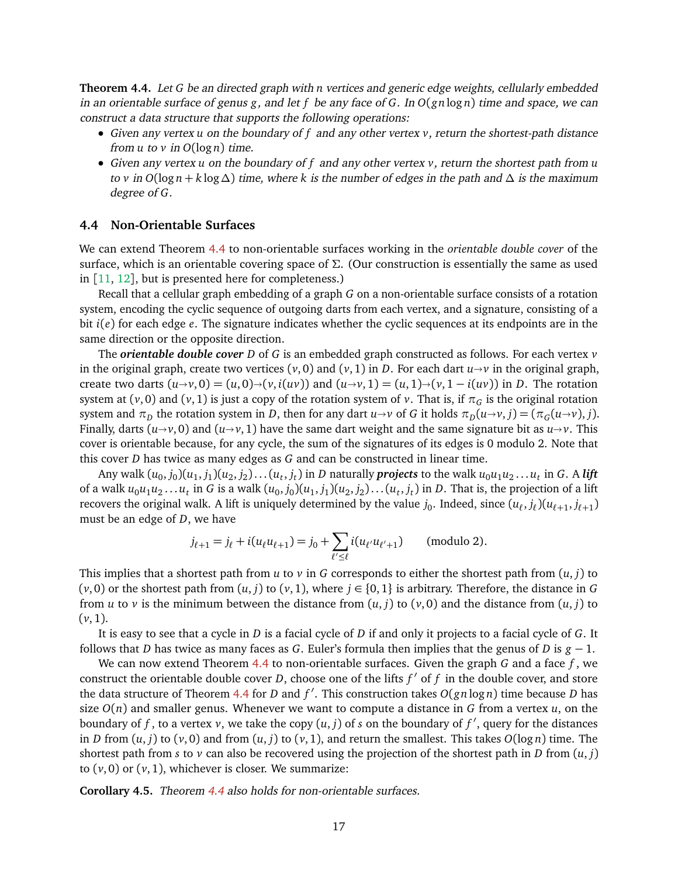**Theorem 4.4.** Let *G* be an directed graph with *n* vertices and generic edge weights, cellularly embedded in an orientable surface of genus *g*, and let *f* be any face of *G*. In *O*(*gn* log *n*) time and space, we can construct a data structure that supports the following operations:

- Given any vertex *u* on the boundary of *f* and any other vertex *v*, return the shortest-path distance from  $u$  to  $v$  in  $O(\log n)$  time.
- Given any vertex *u* on the boundary of *f* and any other vertex *v*, return the shortest path from *u* to *v* in *O*(log *n* + *k* log ∆) time, where *k* is the number of edges in the path and ∆ is the maximum degree of *G*.

#### <span id="page-17-0"></span>**4.4 Non-Orientable Surfaces**

We can extend Theorem [4.4](#page-16-0) to non-orientable surfaces working in the *orientable double cover* of the surface, which is an orientable covering space of  $\Sigma$ . (Our construction is essentially the same as used in  $[11, 12]$  $[11, 12]$  $[11, 12]$  $[11, 12]$  $[11, 12]$ , but is presented here for completeness.)

Recall that a cellular graph embedding of a graph *G* on a non-orientable surface consists of a rotation system, encoding the cyclic sequence of outgoing darts from each vertex, and a signature, consisting of a bit *i*(*e*) for each edge *e*. The signature indicates whether the cyclic sequences at its endpoints are in the same direction or the opposite direction.

The *orientable double cover D* of *G* is an embedded graph constructed as follows. For each vertex *v* in the original graph, create two vertices  $(v, 0)$  and  $(v, 1)$  in *D*. For each dart  $u \rightarrow v$  in the original graph, create two darts  $(u \rightarrow v, 0) = (u, 0) \rightarrow (v, i(uv))$  and  $(u \rightarrow v, 1) = (u, 1) \rightarrow (v, 1 - i(uv))$  in *D*. The rotation system at  $(v, 0)$  and  $(v, 1)$  is just a copy of the rotation system of *v*. That is, if  $\pi_G$  is the original rotation system and  $\pi_D$  the rotation system in *D*, then for any dart  $u \to v$  of *G* it holds  $\pi_D(u \to v, j) = (\pi_G(u \to v), j)$ . Finally, darts ( $u \rightarrow v$ , 0) and ( $u \rightarrow v$ , 1) have the same dart weight and the same signature bit as  $u \rightarrow v$ . This cover is orientable because, for any cycle, the sum of the signatures of its edges is 0 modulo 2. Note that this cover *D* has twice as many edges as *G* and can be constructed in linear time.

Any walk  $(u_0,j_0)(u_1,j_1)(u_2,j_2)\dots (u_t,j_t)$  in  $D$  naturally  ${\bm p}$ rojects to the walk  $u_0u_1u_2\dots u_t$  in  $G.$  A lift of a walk  $u_0u_1u_2\ldots u_t$  in  $G$  is a walk  $(u_0,j_0)(u_1,j_1)(u_2,j_2)\ldots(u_t,j_t)$  in  $D.$  That is, the projection of a lift recovers the original walk. A lift is uniquely determined by the value  $j_0$ . Indeed, since  $(u_\ell, j_\ell)(u_{\ell+1}, j_{\ell+1})$ must be an edge of *D*, we have

$$
j_{\ell+1} = j_{\ell} + i(u_{\ell}u_{\ell+1}) = j_0 + \sum_{\ell' \leq \ell} i(u_{\ell'}u_{\ell'+1})
$$
 (modulo 2).

This implies that a shortest path from  $u$  to  $v$  in  $G$  corresponds to either the shortest path from  $(u, j)$  to  $(v, 0)$  or the shortest path from  $(u, j)$  to  $(v, 1)$ , where  $j \in \{0, 1\}$  is arbitrary. Therefore, the distance in G from *u* to *v* is the minimum between the distance from  $(u, j)$  to  $(v, 0)$  and the distance from  $(u, j)$  to  $(\nu, 1)$ .

It is easy to see that a cycle in *D* is a facial cycle of *D* if and only it projects to a facial cycle of *G*. It follows that *D* has twice as many faces as *G*. Euler's formula then implies that the genus of *D* is *g* − 1.

We can now extend Theorem [4.4](#page-16-0) to non-orientable surfaces. Given the graph *G* and a face *f* , we construct the orientable double cover *D*, choose one of the lifts  $f'$  of  $f$  in the double cover, and store the data structure of Theorem [4.4](#page-16-0) for *D* and *f'*. This construction takes *O*(*gn* log *n*) time because *D* has size  $O(n)$  and smaller genus. Whenever we want to compute a distance in *G* from a vertex *u*, on the boundary of *f*, to a vertex *v*, we take the copy  $(u, j)$  of *s* on the boundary of *f*<sup>'</sup>, query for the distances in *D* from  $(u, j)$  to  $(v, 0)$  and from  $(u, j)$  to  $(v, 1)$ , and return the smallest. This takes  $O(\log n)$  time. The shortest path from *s* to *v* can also be recovered using the projection of the shortest path in *D* from  $(u, j)$ to  $(v, 0)$  or  $(v, 1)$ , whichever is closer. We summarize:

**Corollary 4.5.** Theorem [4.4](#page-16-0) also holds for non-orientable surfaces.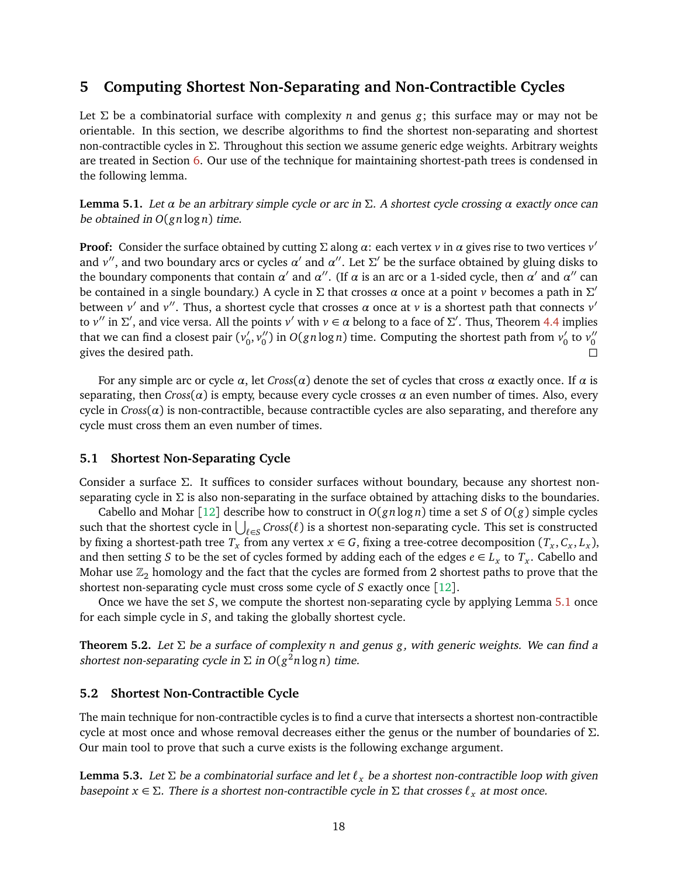# <span id="page-18-0"></span>**5 Computing Shortest Non-Separating and Non-Contractible Cycles**

Let  $\Sigma$  be a combinatorial surface with complexity *n* and genus *g*; this surface may or may not be orientable. In this section, we describe algorithms to find the shortest non-separating and shortest non-contractible cycles in Σ. Throughout this section we assume generic edge weights. Arbitrary weights are treated in Section [6.](#page-21-0) Our use of the technique for maintaining shortest-path trees is condensed in the following lemma.

<span id="page-18-1"></span>**Lemma 5.1.** Let *α* be an arbitrary simple cycle or arc in Σ. A shortest cycle crossing *α* exactly once can be obtained in *O*(*gn* log *n*) time.

**Proof:** Consider the surface obtained by cutting Σ along *α*: each vertex *v* in *α* gives rise to two vertices *v* 0 and  $v''$ , and two boundary arcs or cycles  $\alpha'$  and  $\alpha''$ . Let  $\Sigma'$  be the surface obtained by gluing disks to the boundary components that contain *α'* and *α''*. (If *α* is an arc or a 1-sided cycle, then *α'* and *α''* can be contained in a single boundary.) A cycle in  $\Sigma$  that crosses  $\alpha$  once at a point  $\nu$  becomes a path in  $\Sigma'$ between *v'* and *v''*. Thus, a shortest cycle that crosses  $\alpha$  once at *v* is a shortest path that connects *v'* to *v*'' in  $\Sigma'$ , and vice versa. All the points *v*' with  $v \in \alpha$  belong to a face of  $\Sigma'$ . Thus, Theorem [4.4](#page-16-0) implies that we can find a closest pair ( $v_0^\prime$  $\int_0^{\prime} v_0''$  $\binom{n}{0}$  in  $O(gn \log n)$  time. Computing the shortest path from  $v'_0$  $v_0'$  to  $v_0''$ 0 gives the desired path.

For any simple arc or cycle *α*, let *Cross*(*α*) denote the set of cycles that cross *α* exactly once. If *α* is separating, then *Cross*( $\alpha$ ) is empty, because every cycle crosses  $\alpha$  an even number of times. Also, every cycle in  $Cross(\alpha)$  is non-contractible, because contractible cycles are also separating, and therefore any cycle must cross them an even number of times.

#### **5.1 Shortest Non-Separating Cycle**

Consider a surface Σ. It suffices to consider surfaces without boundary, because any shortest nonseparating cycle in  $\Sigma$  is also non-separating in the surface obtained by attaching disks to the boundaries.

Cabello and Mohar [[12](#page-27-2)] describe how to construct in  $O(gn \log n)$  time a set *S* of  $O(g)$  simple cycles such that the shortest cycle in  $\bigcup_{\ell \in S} Cross(\ell)$  is a shortest non-separating cycle. This set is constructed by fixing a shortest-path tree  $T_x$  from any vertex  $x \in G$ , fixing a tree-cotree decomposition  $(T_x, C_x, L_x)$ , and then setting *S* to be the set of cycles formed by adding each of the edges  $e \in L_x$  to  $T_x$ . Cabello and Mohar use  $\mathbb{Z}_2$  homology and the fact that the cycles are formed from 2 shortest paths to prove that the shortest non-separating cycle must cross some cycle of *S* exactly once [[12](#page-27-2)].

Once we have the set *S*, we compute the shortest non-separating cycle by applying Lemma [5.1](#page-18-1) once for each simple cycle in *S*, and taking the globally shortest cycle.

**Theorem 5.2.** Let Σ be a surface of complexity *n* and genus *g*, with generic weights. We can find a shortest non-separating cycle in  $\Sigma$  in  $O(g^2 n \log n)$  time.

#### **5.2 Shortest Non-Contractible Cycle**

The main technique for non-contractible cycles is to find a curve that intersects a shortest non-contractible cycle at most once and whose removal decreases either the genus or the number of boundaries of Σ. Our main tool to prove that such a curve exists is the following exchange argument.

<span id="page-18-2"></span>**Lemma 5.3.** Let  $\Sigma$  be a combinatorial surface and let  $\ell_x$  be a shortest non-contractible loop with given basepoint  $x \in \Sigma$ . There is a shortest non-contractible cycle in  $\Sigma$  that crosses  $\ell_x$  at most once.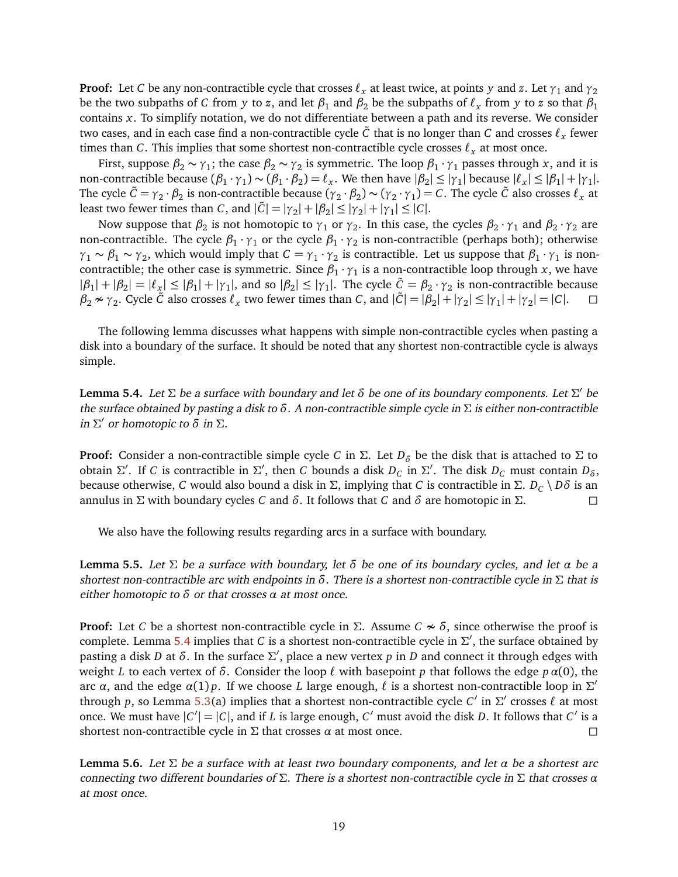**Proof:** Let *C* be any non-contractible cycle that crosses  $\ell_x$  at least twice, at points *y* and *z*. Let  $\gamma_1$  and  $\gamma_2$ be the two subpaths of  $C$  from  $y$  to  $z$ , and let  $\beta_1$  and  $\beta_2$  be the subpaths of  $\ell_x$  from  $y$  to  $z$  so that  $\beta_1$ contains *x*. To simplify notation, we do not differentiate between a path and its reverse. We consider two cases, and in each case find a non-contractible cycle  $\tilde{C}$  that is no longer than  $C$  and crosses  $\ell_{x}$  fewer times than *C*. This implies that some shortest non-contractible cycle crosses  $\ell_x$  at most once.

First, suppose  $\beta_2 \sim \gamma_1$ ; the case  $\beta_2 \sim \gamma_2$  is symmetric. The loop  $\beta_1 \cdot \gamma_1$  passes through *x*, and it is non-contractible because  $(\beta_1 \cdot \gamma_1) \sim (\beta_1 \cdot \beta_2) = \ell_x$ . We then have  $|\beta_2| \le |\gamma_1|$  because  $|\ell_x| \le |\beta_1| + |\gamma_1|$ . The cycle  $\tilde{C} = \gamma_2 \cdot \beta_2$  is non-contractible because  $(\gamma_2 \cdot \beta_2) \sim (\gamma_2 \cdot \gamma_1) = C$ . The cycle  $\tilde{C}$  also crosses  $\ell_x$  at least two fewer times than *C*, and  $|\tilde{C}| = |\gamma_2| + |\beta_2| \le |\gamma_2| + |\gamma_1| \le |C|$ .

Now suppose that  $\beta_2$  is not homotopic to  $\gamma_1$  or  $\gamma_2$ . In this case, the cycles  $\beta_2 \cdot \gamma_1$  and  $\beta_2 \cdot \gamma_2$  are non-contractible. The cycle  $\beta_1 \cdot \gamma_1$  or the cycle  $\beta_1 \cdot \gamma_2$  is non-contractible (perhaps both); otherwise  $\gamma_1 \sim \beta_1 \sim \gamma_2$ , which would imply that  $C = \gamma_1 \cdot \gamma_2$  is contractible. Let us suppose that  $\beta_1 \cdot \gamma_1$  is noncontractible; the other case is symmetric. Since  $\beta_1 \cdot \gamma_1$  is a non-contractible loop through *x*, we have  $|\beta_1| + |\beta_2| = |\ell_x| \le |\beta_1| + |\gamma_1|$ , and so  $|\beta_2| \le |\gamma_1|$ . The cycle  $\tilde{C} = \beta_2 \cdot \gamma_2$  is non-contractible because  $\beta_2 \nsim \gamma_2$ . Cycle  $\tilde{C}$  also crosses  $\ell_x$  two fewer times than *C*, and  $|\tilde{C}| = |\beta_2| + |\gamma_2| \le |\gamma_1| + |\gamma_2| = |C|$ .

The following lemma discusses what happens with simple non-contractible cycles when pasting a disk into a boundary of the surface. It should be noted that any shortest non-contractible cycle is always simple.

<span id="page-19-0"></span>**Lemma 5.4.** Let  $\Sigma$  be a surface with boundary and let  $\delta$  be one of its boundary components. Let  $\Sigma'$  be the surface obtained by pasting a disk to *δ*. A non-contractible simple cycle in Σ is either non-contractible  $\ln \Sigma'$  or homotopic to  $\delta$  in  $\Sigma$ .

**Proof:** Consider a non-contractible simple cycle *C* in  $\Sigma$ . Let  $D_{\delta}$  be the disk that is attached to  $\Sigma$  to obtain  $\Sigma'$ . If *C* is contractible in  $\Sigma'$ , then *C* bounds a disk  $D_C$  in  $\Sigma'$ . The disk  $D_C$  must contain  $D_{\delta}$ , because otherwise, *C* would also bound a disk in Σ, implying that *C* is contractible in Σ.  $D_C \setminus D\delta$  is an annulus in Σ with boundary cycles *C* and *δ*. It follows that *C* and *δ* are homotopic in Σ.

We also have the following results regarding arcs in a surface with boundary.

<span id="page-19-1"></span>**Lemma 5.5.** Let Σ be a surface with boundary, let *δ* be one of its boundary cycles, and let *α* be a shortest non-contractible arc with endpoints in *δ*. There is a shortest non-contractible cycle in Σ that is either homotopic to *δ* or that crosses *α* at most once.

**Proof:** Let *C* be a shortest non-contractible cycle in  $\Sigma$ . Assume  $C \nsim \delta$ , since otherwise the proof is complete. Lemma [5.4](#page-19-0) implies that *C* is a shortest non-contractible cycle in  $\Sigma'$ , the surface obtained by pasting a disk *D* at *δ*. In the surface Σ 0 , place a new vertex *p* in *D* and connect it through edges with weight *L* to each vertex of *δ*. Consider the loop  $\ell$  with basepoint *p* that follows the edge  $p \alpha(0)$ , the arc  $\alpha$ , and the edge  $\alpha(1)p$ . If we choose *L* large enough,  $\ell$  is a shortest non-contractible loop in  $\Sigma'$ through *p*, so Lemma [5.3\(](#page-18-2)a) implies that a shortest non-contractible cycle *C'* in  $\Sigma'$  crosses  $\ell$  at most once. We must have  $|C'| = |C|$ , and if *L* is large enough,  $C'$  must avoid the disk *D*. It follows that  $C'$  is a shortest non-contractible cycle in  $\Sigma$  that crosses  $\alpha$  at most once.

<span id="page-19-2"></span>**Lemma 5.6.** Let Σ be a surface with at least two boundary components, and let *α* be a shortest arc connecting two different boundaries of Σ. There is a shortest non-contractible cycle in Σ that crosses *α* at most once.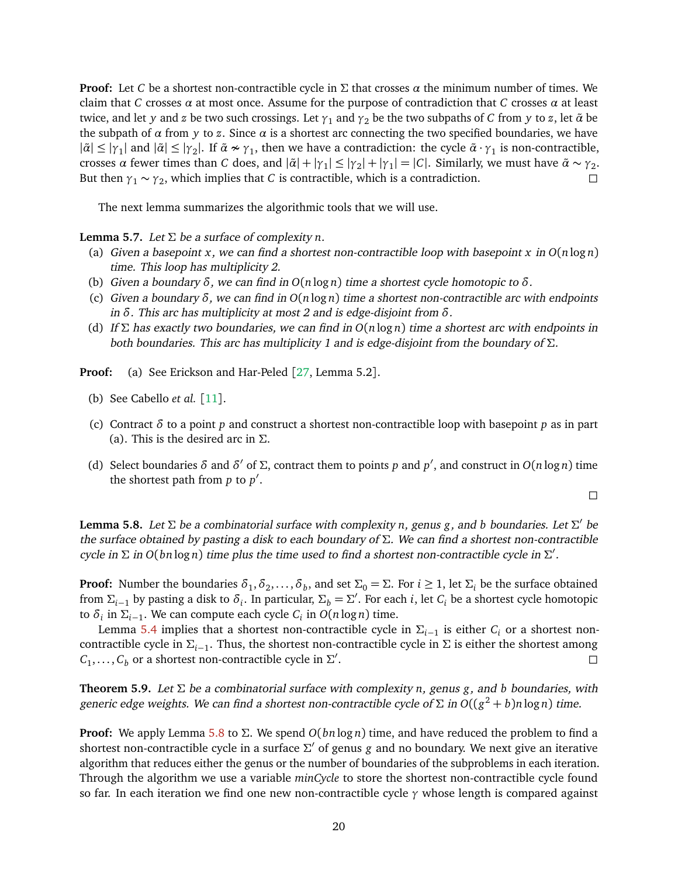**Proof:** Let *C* be a shortest non-contractible cycle in  $\Sigma$  that crosses  $\alpha$  the minimum number of times. We claim that *C* crosses *α* at most once. Assume for the purpose of contradiction that *C* crosses *α* at least twice, and let *y* and *z* be two such crossings. Let  $\gamma_1$  and  $\gamma_2$  be the two subpaths of *C* from *y* to *z*, let  $\tilde{\alpha}$  be the subpath of *α* from *y* to *z*. Since *α* is a shortest arc connecting the two specified boundaries, we have  $|\tilde{\alpha}| \leq |\gamma_1|$  and  $|\tilde{\alpha}| \leq |\gamma_2|$ . If  $\tilde{\alpha} \nsim \gamma_1$ , then we have a contradiction: the cycle  $\tilde{\alpha} \cdot \gamma_1$  is non-contractible, crosses *α* fewer times than *C* does, and  $|\tilde{\alpha}| + |\gamma_1| \le |\gamma_2| + |\gamma_1| = |C|$ . Similarly, we must have  $\tilde{\alpha} \sim \gamma_2$ . But then  $\gamma_1 \sim \gamma_2$ , which implies that *C* is contractible, which is a contradiction.

The next lemma summarizes the algorithmic tools that we will use.

<span id="page-20-1"></span>**Lemma 5.7.** Let  $\Sigma$  be a surface of complexity *n*.

- (a) Given a basepoint *x*, we can find a shortest non-contractible loop with basepoint *x* in *O*(*n* log *n*) time. This loop has multiplicity 2.
- (b) Given a boundary *δ*, we can find in *O*(*n* log *n*) time a shortest cycle homotopic to *δ*.
- (c) Given a boundary *δ*, we can find in *O*(*n* log *n*) time a shortest non-contractible arc with endpoints in *δ*. This arc has multiplicity at most 2 and is edge-disjoint from *δ*.
- (d) If Σ has exactly two boundaries, we can find in *O*(*n* log *n*) time a shortest arc with endpoints in both boundaries. This arc has multiplicity 1 and is edge-disjoint from the boundary of  $\Sigma$ .

**Proof:** (a) See Erickson and Har-Peled [[27,](#page-28-5) Lemma 5.2].

- (b) See Cabello *et al.* [[11](#page-27-13)].
- (c) Contract *δ* to a point *p* and construct a shortest non-contractible loop with basepoint *p* as in part (a). This is the desired arc in  $\Sigma$ .
- (d) Select boundaries  $\delta$  and  $\delta'$  of  $\Sigma$ , contract them to points *p* and *p'*, and construct in  $O(n \log n)$  time the shortest path from  $p$  to  $p'$ .

 $\Box$ 

<span id="page-20-0"></span>**Lemma 5.8.** Let  $\Sigma$  be a combinatorial surface with complexity *n*, genus *g*, and *b* boundaries. Let  $\Sigma'$  be the surface obtained by pasting a disk to each boundary of  $\Sigma$ . We can find a shortest non-contractible cycle in Σ in *O*(*bn* log *n*) time plus the time used to find a shortest non-contractible cycle in Σ 0 .

**Proof:** Number the boundaries  $\delta_1, \delta_2, \ldots, \delta_b$ , and set  $\Sigma_0 = \Sigma$ . For  $i \ge 1$ , let  $\Sigma_i$  be the surface obtained from  $\Sigma_{i-1}$  by pasting a disk to  $\delta_i$ . In particular,  $\Sigma_b = \Sigma'$ . For each *i*, let  $C_i$  be a shortest cycle homotopic to  $\delta_i$  in  $\Sigma_{i-1}$ . We can compute each cycle  $C_i$  in  $O(n \log n)$  time.

Lemma [5.4](#page-19-0) implies that a shortest non-contractible cycle in Σ*i*−<sup>1</sup> is either *C<sup>i</sup>* or a shortest noncontractible cycle in Σ*i*−<sup>1</sup> . Thus, the shortest non-contractible cycle in Σ is either the shortest among  $C_1, \ldots, C_b$  or a shortest non-contractible cycle in  $\Sigma'$ .

**Theorem 5.9.** Let Σ be a combinatorial surface with complexity *n*, genus *g*, and *b* boundaries, with generic edge weights. We can find a shortest non-contractible cycle of  $\Sigma$  in  $O((g^2 + b)n\log n)$  time.

**Proof:** We apply Lemma [5.8](#page-20-0) to Σ. We spend *O*(*bn* log *n*) time, and have reduced the problem to find a shortest non-contractible cycle in a surface Σ' of genus *g* and no boundary. We next give an iterative algorithm that reduces either the genus or the number of boundaries of the subproblems in each iteration. Through the algorithm we use a variable *minCycle* to store the shortest non-contractible cycle found so far. In each iteration we find one new non-contractible cycle *γ* whose length is compared against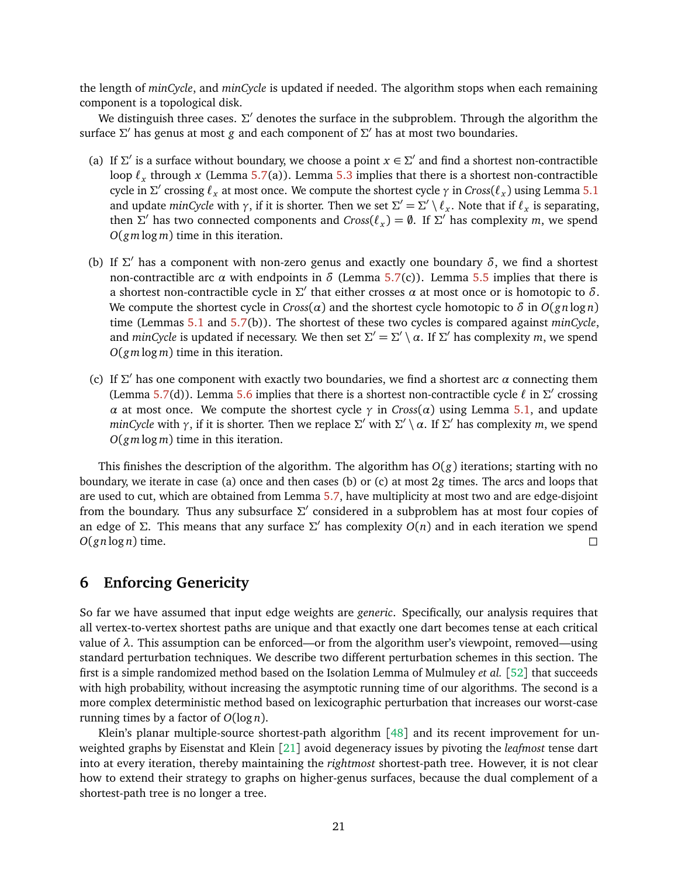the length of *minCycle*, and *minCycle* is updated if needed. The algorithm stops when each remaining component is a topological disk.

We distinguish three cases.  $\Sigma'$  denotes the surface in the subproblem. Through the algorithm the surface Σ' has genus at most *g* and each component of Σ' has at most two boundaries.

- (a) If  $\Sigma'$  is a surface without boundary, we choose a point  $x \in \Sigma'$  and find a shortest non-contractible loop  $\ell_x$  through *x* (Lemma [5.7\(](#page-20-1)a)). Lemma [5.3](#page-18-2) implies that there is a shortest non-contractible cycle in  $\Sigma'$  crossing  $\ell_x$  at most once. We compute the shortest cycle  $\gamma$  in  $Cross(\ell_x)$  using Lemma [5.1](#page-18-1) and update  $minCycle$  with  $\gamma$ , if it is shorter. Then we set  $\Sigma' = \Sigma' \setminus \ell_x$ . Note that if  $\ell_x$  is separating, then  $\Sigma'$  has two connected components and  $Cross(\ell_x) = \emptyset$ . If  $\Sigma'$  has complexity *m*, we spend *O*(*gm* log *m*) time in this iteration.
- (b) If  $\Sigma'$  has a component with non-zero genus and exactly one boundary  $\delta$ , we find a shortest non-contractible arc *α* with endpoints in  $\delta$  (Lemma [5.7\(](#page-20-1)c)). Lemma [5.5](#page-19-1) implies that there is a shortest non-contractible cycle in  $\Sigma'$  that either crosses  $\alpha$  at most once or is homotopic to  $\delta$ . We compute the shortest cycle in  $Cross(\alpha)$  and the shortest cycle homotopic to  $\delta$  in  $O(gn \log n)$ time (Lemmas [5.1](#page-18-1) and [5.7\(](#page-20-1)b)). The shortest of these two cycles is compared against *minCycle*, and *minCycle* is updated if necessary. We then set  $\Sigma' = \Sigma' \setminus \alpha$ . If  $\Sigma'$  has complexity *m*, we spend *O*(*gm* log *m*) time in this iteration.
- (c) If  $\Sigma'$  has one component with exactly two boundaries, we find a shortest arc  $\alpha$  connecting them (Lemma [5.7\(](#page-20-1)d)). Lemma [5.6](#page-19-2) implies that there is a shortest non-contractible cycle  $\ell$  in  $\Sigma'$  crossing *α* at most once. We compute the shortest cycle  $\gamma$  in *Cross*(*α*) using Lemma [5.1,](#page-18-1) and update *minCycle* with  $\gamma$ , if it is shorter. Then we replace  $\Sigma'$  with  $\Sigma' \setminus \alpha$ . If  $\Sigma'$  has complexity *m*, we spend *O*(*gm* log *m*) time in this iteration.

This finishes the description of the algorithm. The algorithm has  $O(g)$  iterations; starting with no boundary, we iterate in case (a) once and then cases (b) or (c) at most 2*g* times. The arcs and loops that are used to cut, which are obtained from Lemma [5.7,](#page-20-1) have multiplicity at most two and are edge-disjoint from the boundary. Thus any subsurface  $\Sigma'$  considered in a subproblem has at most four copies of an edge of Σ. This means that any surface Σ' has complexity  $O(n)$  and in each iteration we spend  $O(gn \log n)$  time.

# <span id="page-21-0"></span>**6 Enforcing Genericity**

So far we have assumed that input edge weights are *generic*. Specifically, our analysis requires that all vertex-to-vertex shortest paths are unique and that exactly one dart becomes tense at each critical value of *λ*. This assumption can be enforced—or from the algorithm user's viewpoint, removed—using standard perturbation techniques. We describe two different perturbation schemes in this section. The first is a simple randomized method based on the Isolation Lemma of Mulmuley *et al.* [[52](#page-30-7)] that succeeds with high probability, without increasing the asymptotic running time of our algorithms. The second is a more complex deterministic method based on lexicographic perturbation that increases our worst-case running times by a factor of *O*(log *n*).

Klein's planar multiple-source shortest-path algorithm [[48](#page-29-1)] and its recent improvement for unweighted graphs by Eisenstat and Klein [[21](#page-28-6)] avoid degeneracy issues by pivoting the *leafmost* tense dart into at every iteration, thereby maintaining the *rightmost* shortest-path tree. However, it is not clear how to extend their strategy to graphs on higher-genus surfaces, because the dual complement of a shortest-path tree is no longer a tree.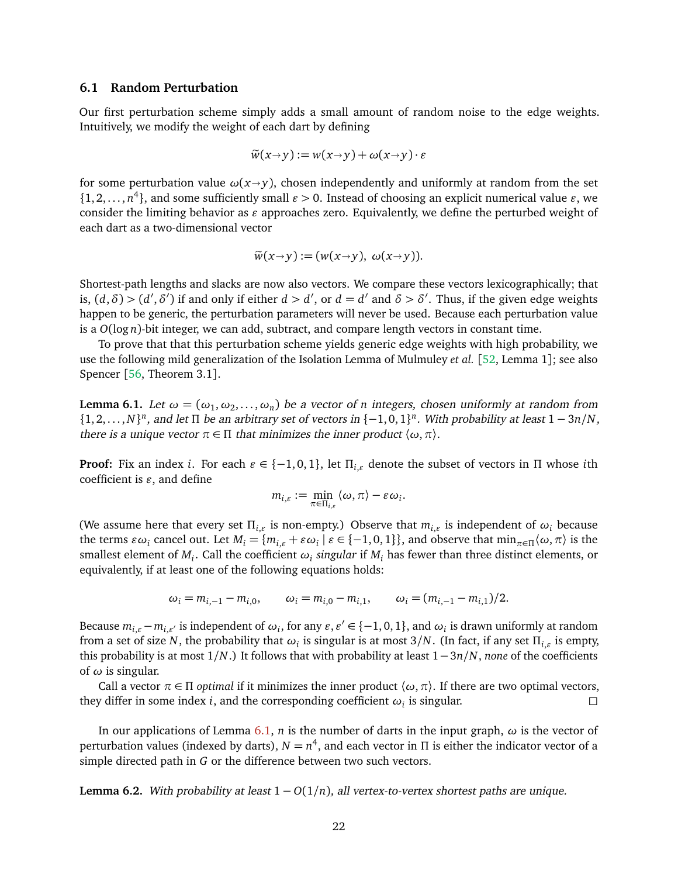#### **6.1 Random Perturbation**

Our first perturbation scheme simply adds a small amount of random noise to the edge weights. Intuitively, we modify the weight of each dart by defining

$$
\widetilde{w}(x \rightarrow y) := w(x \rightarrow y) + \omega(x \rightarrow y) \cdot \varepsilon
$$

for some perturbation value  $\omega(x\rightarrow y)$ , chosen independently and uniformly at random from the set  $\{1, 2, \ldots, n^4\}$ , and some sufficiently small  $\varepsilon > 0$ . Instead of choosing an explicit numerical value  $\varepsilon$ , we consider the limiting behavior as  $\varepsilon$  approaches zero. Equivalently, we define the perturbed weight of each dart as a two-dimensional vector

$$
\widetilde{w}(x \to y) := (w(x \to y), \ \omega(x \to y)).
$$

Shortest-path lengths and slacks are now also vectors. We compare these vectors lexicographically; that is,  $(d, \delta)$  >  $(d', \delta')$  if and only if either  $d > d'$ , or  $d = d'$  and  $\delta > \delta'$ . Thus, if the given edge weights happen to be generic, the perturbation parameters will never be used. Because each perturbation value is a *O*(log *n*)-bit integer, we can add, subtract, and compare length vectors in constant time.

To prove that that this perturbation scheme yields generic edge weights with high probability, we use the following mild generalization of the Isolation Lemma of Mulmuley *et al.* [[52,](#page-30-7) Lemma 1]; see also Spencer [[56,](#page-30-11) Theorem 3.1].

<span id="page-22-0"></span>**Lemma 6.1.** Let  $\omega = (\omega_1, \omega_2, \dots, \omega_n)$  be a vector of *n* integers, chosen uniformly at random from  $\{1, 2, \ldots, N\}^n$ , and let  $\Pi$  be an arbitrary set of vectors in  $\{-1, 0, 1\}^n$ . With probability at least  $1 - 3n/N$ , there is a unique vector  $\pi \in \Pi$  that minimizes the inner product  $\langle \omega, \pi \rangle$ .

**Proof:** Fix an index *i*. For each  $\varepsilon \in \{-1,0,1\}$ , let  $\Pi_{i,\varepsilon}$  denote the subset of vectors in  $\Pi$  whose *i*th coefficient is  $\varepsilon$ , and define

$$
m_{i,\varepsilon} := \min_{\pi \in \Pi_{i,\varepsilon}} \langle \omega, \pi \rangle - \varepsilon \omega_i.
$$

(We assume here that every set  $\Pi_{i,\varepsilon}$  is non-empty.) Observe that  $m_{i,\varepsilon}$  is independent of  $\omega_i$  because the terms  $\varepsilon \omega_i$  cancel out. Let  $M_i = \{m_{i,\varepsilon} + \varepsilon \omega_i \mid \varepsilon \in \{-1,0,1\}\}$ , and observe that  $\min_{\pi \in \Pi} \langle \omega, \pi \rangle$  is the smallest element of  $M_i$ . Call the coefficient  $\omega_i$  *singular* if  $M_i$  has fewer than three distinct elements, or equivalently, if at least one of the following equations holds:

$$
\omega_i = m_{i,-1} - m_{i,0},
$$
\n $\omega_i = m_{i,0} - m_{i,1},$ \n $\omega_i = (m_{i,-1} - m_{i,1})/2.$ 

Because  $m_{i,\varepsilon} - m_{i,\varepsilon'}$  is independent of  $\omega_i$ , for any  $\varepsilon, \varepsilon' \in \{-1,0,1\}$ , and  $\omega_i$  is drawn uniformly at random from a set of size  $N$ , the probability that  $\omega_i$  is singular is at most 3/ $N$ . (In fact, if any set  $\Pi_{i,\varepsilon}$  is empty, this probability is at most 1*/N*.) It follows that with probability at least 1−3*n/N*, *none* of the coefficients of *ω* is singular.

Call a vector  $\pi \in \Pi$  *optimal* if it minimizes the inner product  $\langle \omega, \pi \rangle$ . If there are two optimal vectors, they differ in some index *i*, and the corresponding coefficient  $\omega_i$  is singular.

In our applications of Lemma [6.1,](#page-22-0) *n* is the number of darts in the input graph,  $\omega$  is the vector of perturbation values (indexed by darts),  $N = n^4$ , and each vector in Π is either the indicator vector of a simple directed path in *G* or the difference between two such vectors.

**Lemma 6.2.** With probability at least  $1 - O(1/n)$ , all vertex-to-vertex shortest paths are unique.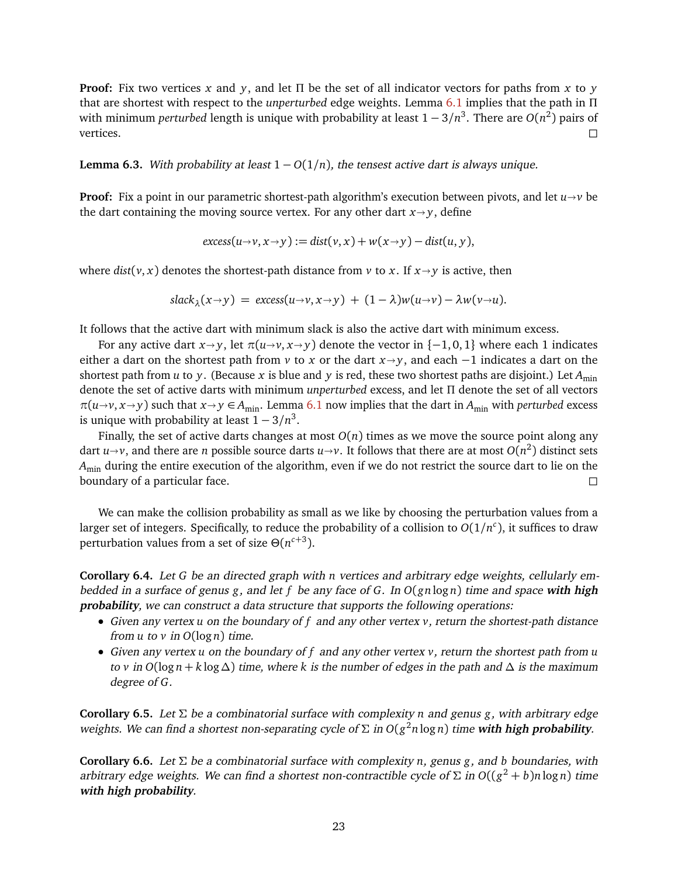**Proof:** Fix two vertices *x* and *y*, and let Π be the set of all indicator vectors for paths from *x* to *y* that are shortest with respect to the *unperturbed* edge weights. Lemma [6.1](#page-22-0) implies that the path in Π with minimum *perturbed* length is unique with probability at least 1 − 3*/n* 3 . There are *O*(*n* 2 ) pairs of vertices.  $\Box$ 

**Lemma 6.3.** With probability at least  $1 - O(1/n)$ , the tensest active dart is always unique.

**Proof:** Fix a point in our parametric shortest-path algorithm's execution between pivots, and let  $u \rightarrow v$  be the dart containing the moving source vertex. For any other dart  $x \rightarrow y$ , define

$$
excess(u\rightarrow v, x\rightarrow y) := dist(v, x) + w(x\rightarrow y) - dist(u, y),
$$

where  $dist(v, x)$  denotes the shortest-path distance from v to x. If  $x \rightarrow y$  is active, then

$$
slack_{\lambda}(x \rightarrow y) = excess(u \rightarrow v, x \rightarrow y) + (1 - \lambda)w(u \rightarrow v) - \lambda w(v \rightarrow u).
$$

It follows that the active dart with minimum slack is also the active dart with minimum excess.

For any active dart  $x \rightarrow y$ , let  $\pi(u \rightarrow v, x \rightarrow y)$  denote the vector in  $\{-1, 0, 1\}$  where each 1 indicates either a dart on the shortest path from *v* to *x* or the dart  $x \rightarrow y$ , and each  $-1$  indicates a dart on the shortest path from *u* to *y*. (Because *x* is blue and *y* is red, these two shortest paths are disjoint.) Let  $A_{\min}$ denote the set of active darts with minimum *unperturbed* excess, and let Π denote the set of all vectors  $\pi(u\rightarrow v, x\rightarrow y)$  such that  $x\rightarrow y \in A_{\min}$ . Lemma [6.1](#page-22-0) now implies that the dart in  $A_{\min}$  with *perturbed* excess is unique with probability at least  $1 - 3/n^3$ .

Finally, the set of active darts changes at most  $O(n)$  times as we move the source point along any dart  $u \rightarrow v$ , and there are *n* possible source darts  $u \rightarrow v$ . It follows that there are at most  $O(n^2)$  distinct sets *A*min during the entire execution of the algorithm, even if we do not restrict the source dart to lie on the boundary of a particular face.

We can make the collision probability as small as we like by choosing the perturbation values from a larger set of integers. Specifically, to reduce the probability of a collision to  $O(1/n^c)$ , it suffices to draw perturbation values from a set of size  $\Theta(n^{c+3})$ .

**Corollary 6.4.** Let *G* be an directed graph with *n* vertices and arbitrary edge weights, cellularly embedded in a surface of genus *g*, and let *f* be any face of *G*. In *O*(*gn* log *n*) time and space **with high probability**, we can construct a data structure that supports the following operations:

- Given any vertex *u* on the boundary of *f* and any other vertex *v*, return the shortest-path distance from  $u$  to  $v$  in  $O(\log n)$  time.
- Given any vertex *u* on the boundary of *f* and any other vertex *v*, return the shortest path from *u* to *v* in  $O(\log n + k \log \Delta)$  time, where *k* is the number of edges in the path and  $\Delta$  is the maximum degree of *G*.

**Corollary 6.5.** Let Σ be a combinatorial surface with complexity *n* and genus *g*, with arbitrary edge weights. We can find a shortest non-separating cycle of Σ in *O*(*g* <sup>2</sup>*n* log *n*) time **with high probability**.

**Corollary 6.6.** Let Σ be a combinatorial surface with complexity *n*, genus *g*, and *b* boundaries, with arbitrary edge weights. We can find a shortest non-contractible cycle of Σ in *O*((*g* <sup>2</sup> + *b*)*n* log *n*) time **with high probability**.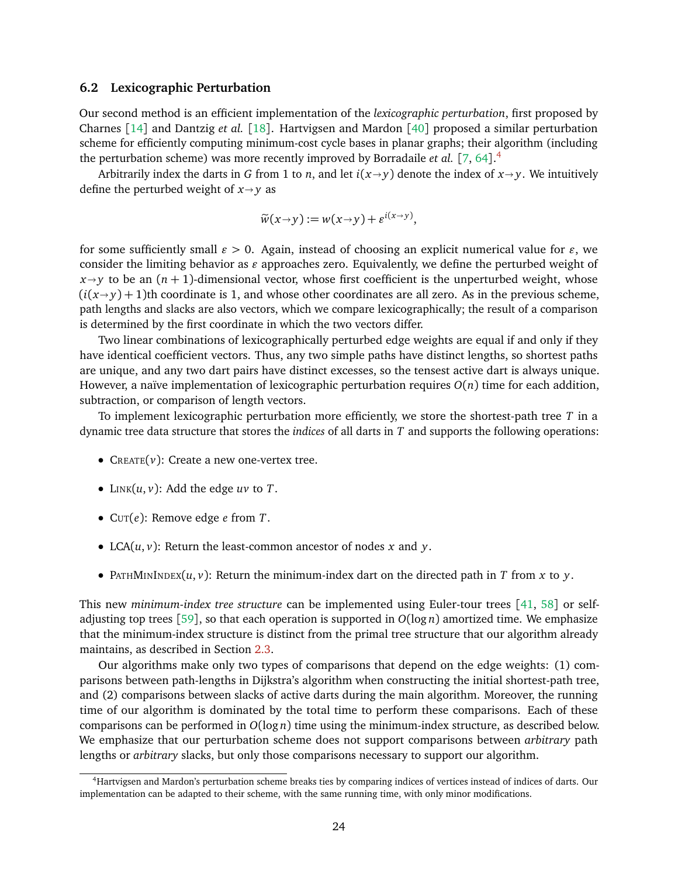#### **6.2 Lexicographic Perturbation**

Our second method is an efficient implementation of the *lexicographic perturbation*, first proposed by Charnes [[14](#page-27-4)] and Dantzig *et al.* [[18](#page-28-17)]. Hartvigsen and Mardon [[40](#page-29-7)] proposed a similar perturbation scheme for efficiently computing minimum-cost cycle bases in planar graphs; their algorithm (including the perturbation scheme) was more recently improved by Borradaile *et al.* [[7,](#page-27-14) [64](#page-30-12)]. [4](#page-24-0)

Arbitrarily index the darts in *G* from 1 to *n*, and let  $i(x \rightarrow y)$  denote the index of  $x \rightarrow y$ . We intuitively define the perturbed weight of  $x \rightarrow y$  as

$$
\widetilde{w}(x \to y) := w(x \to y) + \varepsilon^{i(x \to y)},
$$

for some sufficiently small  $\varepsilon > 0$ . Again, instead of choosing an explicit numerical value for  $\varepsilon$ , we consider the limiting behavior as  $\varepsilon$  approaches zero. Equivalently, we define the perturbed weight of  $x \rightarrow y$  to be an  $(n + 1)$ -dimensional vector, whose first coefficient is the unperturbed weight, whose  $(i(x \rightarrow y) + 1)$ th coordinate is 1, and whose other coordinates are all zero. As in the previous scheme, path lengths and slacks are also vectors, which we compare lexicographically; the result of a comparison is determined by the first coordinate in which the two vectors differ.

Two linear combinations of lexicographically perturbed edge weights are equal if and only if they have identical coefficient vectors. Thus, any two simple paths have distinct lengths, so shortest paths are unique, and any two dart pairs have distinct excesses, so the tensest active dart is always unique. However, a naïve implementation of lexicographic perturbation requires *O*(*n*) time for each addition, subtraction, or comparison of length vectors.

To implement lexicographic perturbation more efficiently, we store the shortest-path tree *T* in a dynamic tree data structure that stores the *indices* of all darts in *T* and supports the following operations:

- $C_{REATE}(v)$ : Create a new one-vertex tree.
- LINK $(u, v)$ : Add the edge  $uv$  to  $T$ .
- CUT(*e*): Remove edge *e* from *T*.
- LCA(*u*, *v*): Return the least-common ancestor of nodes *x* and *y*.
- PATHMININDEX(*u*, *v*): Return the minimum-index dart on the directed path in *T* from *x* to *y*.

This new *minimum-index tree structure* can be implemented using Euler-tour trees [[41,](#page-29-15) [58](#page-30-9)] or self-adjusting top trees [[59](#page-30-4)], so that each operation is supported in  $O(\log n)$  amortized time. We emphasize that the minimum-index structure is distinct from the primal tree structure that our algorithm already maintains, as described in Section [2.3.](#page-6-1)

Our algorithms make only two types of comparisons that depend on the edge weights: (1) comparisons between path-lengths in Dijkstra's algorithm when constructing the initial shortest-path tree, and (2) comparisons between slacks of active darts during the main algorithm. Moreover, the running time of our algorithm is dominated by the total time to perform these comparisons. Each of these comparisons can be performed in *O*(log *n*) time using the minimum-index structure, as described below. We emphasize that our perturbation scheme does not support comparisons between *arbitrary* path lengths or *arbitrary* slacks, but only those comparisons necessary to support our algorithm.

<span id="page-24-0"></span><sup>4</sup>Hartvigsen and Mardon's perturbation scheme breaks ties by comparing indices of vertices instead of indices of darts. Our implementation can be adapted to their scheme, with the same running time, with only minor modifications.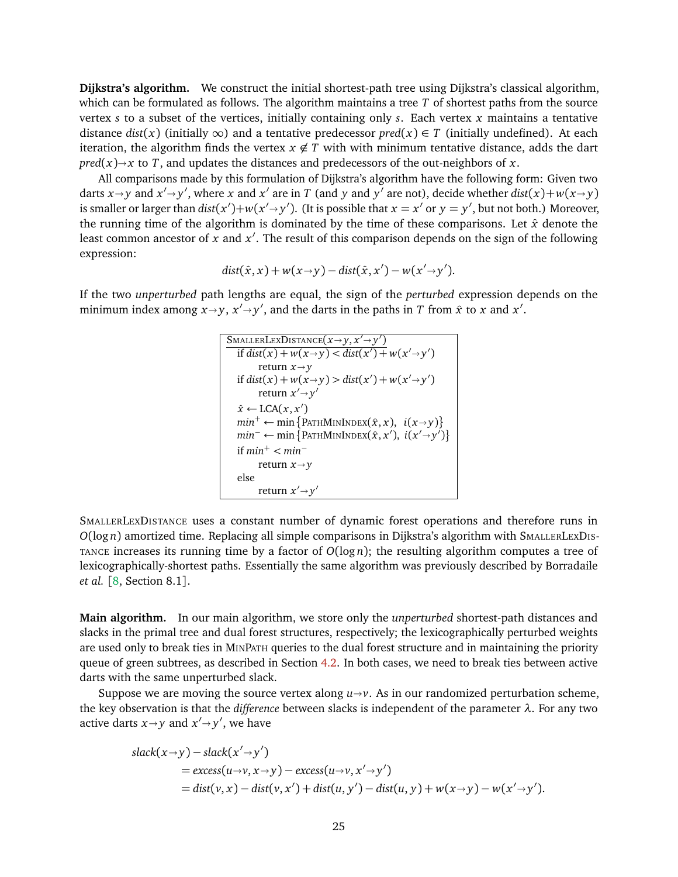**Dijkstra's algorithm.** We construct the initial shortest-path tree using Dijkstra's classical algorithm, which can be formulated as follows. The algorithm maintains a tree *T* of shortest paths from the source vertex *s* to a subset of the vertices, initially containing only *s*. Each vertex *x* maintains a tentative distance *dist*(*x*) (initially ∞) and a tentative predecessor *pred*(*x*) ∈ *T* (initially undefined). At each iteration, the algorithm finds the vertex  $x \notin T$  with with minimum tentative distance, adds the dart  $pred(x) \rightarrow x$  to *T*, and updates the distances and predecessors of the out-neighbors of *x*.

All comparisons made by this formulation of Dijkstra's algorithm have the following form: Given two darts  $x \rightarrow y$  and  $x' \rightarrow y'$ , where *x* and  $x'$  are in *T* (and *y* and  $y'$  are not), decide whether  $dist(x) + w(x \rightarrow y)$ is smaller or larger than  $dist(x') + w(x' \rightarrow y')$ . (It is possible that  $x = x'$  or  $y = y'$ , but not both.) Moreover, the running time of the algorithm is dominated by the time of these comparisons. Let  $\hat{x}$  denote the least common ancestor of x and  $x'$ . The result of this comparison depends on the sign of the following expression:

$$
dist(\hat{x},x) + w(x \rightarrow y) - dist(\hat{x},x') - w(x' \rightarrow y').
$$

If the two *unperturbed* path lengths are equal, the sign of the *perturbed* expression depends on the minimum index among  $x \rightarrow y$ ,  $x' \rightarrow y'$ , and the darts in the paths in *T* from  $\hat{x}$  to *x* and  $x'$ .

$$
\begin{array}{|l|}\n\hline\n\text{SMALLERLEXDISTANCE}(x \rightarrow y, x' \rightarrow y')\n\hline\n\text{if } \text{dist}(x) + w(x \rightarrow y) < \text{dist}(x') + w(x' \rightarrow y')\n\end{array}
$$
\nreturn  $x \rightarrow y$ \nif  $\text{dist}(x) + w(x \rightarrow y) > \text{dist}(x') + w(x' \rightarrow y')$ \nreturn  $x' \rightarrow y'$ \n
$$
\hat{x} \leftarrow \text{LCA}(x, x')\n\quad min^+ \leftarrow \min \{ \text{PATHMININDEX}(\hat{x}, x), i(x \rightarrow y) \}
$$
\n
$$
\min^- \leftarrow \min \{ \text{PATHMININDEX}(\hat{x}, x'), i(x' \rightarrow y') \}
$$
\nif  $\min^+ < \min^-$ \nreturn  $x \rightarrow y$ \nelse\nreturn  $x' \rightarrow y'$ \n

SMALLERLEXDISTANCE uses a constant number of dynamic forest operations and therefore runs in *O*(log *n*) amortized time. Replacing all simple comparisons in Dijkstra's algorithm with SMALLERLEXDIS-TANCE increases its running time by a factor of *O*(log *n*); the resulting algorithm computes a tree of lexicographically-shortest paths. Essentially the same algorithm was previously described by Borradaile *et al.* [[8,](#page-27-15) Section 8.1].

**Main algorithm.** In our main algorithm, we store only the *unperturbed* shortest-path distances and slacks in the primal tree and dual forest structures, respectively; the lexicographically perturbed weights are used only to break ties in MINPATH queries to the dual forest structure and in maintaining the priority queue of green subtrees, as described in Section [4.2.](#page-14-1) In both cases, we need to break ties between active darts with the same unperturbed slack.

Suppose we are moving the source vertex along  $u \rightarrow v$ . As in our randomized perturbation scheme, the key observation is that the *difference* between slacks is independent of the parameter *λ*. For any two active darts  $x \rightarrow y$  and  $x' \rightarrow y'$ , we have

$$
slack(x \rightarrow y) - slack(x' \rightarrow y')
$$
  
= excess(u \rightarrow v, x \rightarrow y) - excess(u \rightarrow v, x' \rightarrow y')  
= dist(v, x) - dist(v, x') + dist(u, y') - dist(u, y) + w(x \rightarrow y) - w(x' \rightarrow y').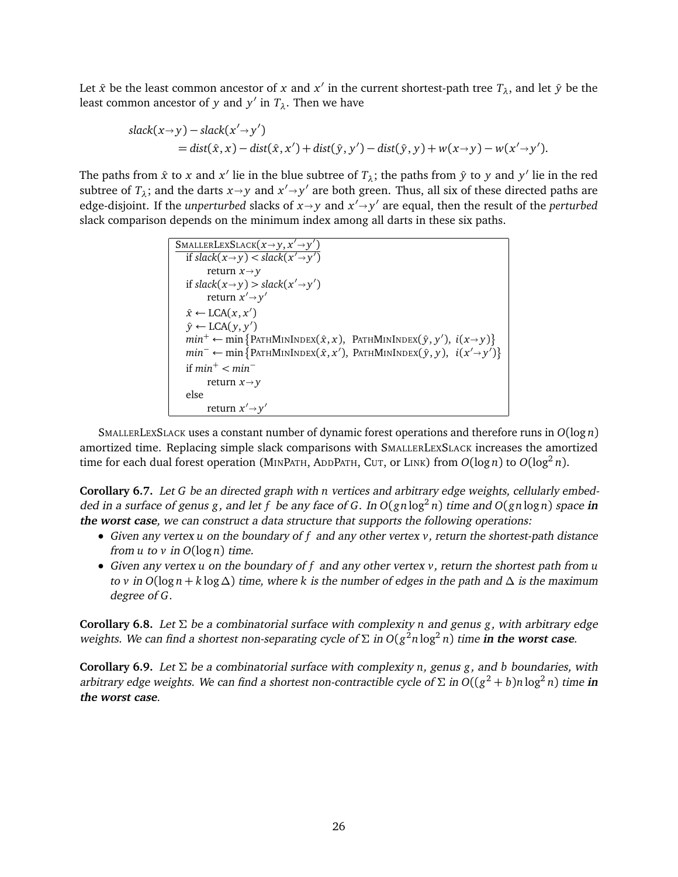Let  $\hat{x}$  be the least common ancestor of  $x$  and  $x'$  in the current shortest-path tree  $T_\lambda$ , and let  $\hat{y}$  be the least common ancestor of *y* and  $y'$  in  $T_\lambda$ . Then we have

$$
slack(x \rightarrow y) - slack(x' \rightarrow y')= dist(\hat{x}, x) - dist(\hat{x}, x') + dist(\hat{y}, y') - dist(\hat{y}, y) + w(x \rightarrow y) - w(x' \rightarrow y').
$$

The paths from  $\hat{x}$  to  $x$  and  $x'$  lie in the blue subtree of  $T_\lambda$ ; the paths from  $\hat{y}$  to  $y$  and  $y'$  lie in the red subtree of  $T_\lambda$ ; and the darts  $x \rightarrow y$  and  $x' \rightarrow y'$  are both green. Thus, all six of these directed paths are adoptions. If the unnexturbed clocks of x and  $x' \rightarrow y'$  are equal then the result of the nexturbed edge-disjoint. If the *unperturbed* slacks of  $x \rightarrow y$  and  $x' \rightarrow y'$  are equal, then the result of the *perturbed*<br>also comparison dangeds on the minimum index among all dates in these six paths slack comparison depends on the minimum index among all darts in these six paths.

```
\frac{\text{SMALLERLEXSLACK}(x \rightarrow y, x' \rightarrow y')}{\text{if slack}(x \rightarrow y) \leq \text{dark}(x' \rightarrow y')})
     if \text{slack}(x \rightarrow y) < \text{slack}(x' \rightarrow y')return x \rightarrow yif \text{slack}(x \rightarrow y) > \text{slack}(x' \rightarrow y')return x' \rightarrow y'\hat{x} \leftarrow \text{LCA}(x, x')\hat{y} \leftarrow \text{LCA}(y, y')min^+ \leftarrow \min \{PartMININDEX(\hat{x}, x), \text{PATHMININDEX}(\hat{y}, y'), i(x \rightarrow y)\}<br>
min^- \leftarrow \min \{PartMININDEX(\hat{x}, x') \text{ Output} \text{Input}(\hat{y}, y), i(x', y')\}min<sup>−</sup> ← min {PATHMININDEX(\hat{x}, x'), PATHMININDEX(\hat{y}, y), i(x' \rightarrow y')}
    if min<sup>+</sup> < min<sup>−</sup>return x \rightarrow yelse
                return x' \rightarrow y'
```
SMALLERLEXSLACK uses a constant number of dynamic forest operations and therefore runs in *O*(log *n*) amortized time. Replacing simple slack comparisons with SMALLERLEXSLACK increases the amortized time for each dual forest operation (MINPATH, ADDPATH, CUT, or LINK) from  $O(\log n)$  to  $O(\log^2 n)$ .

**Corollary 6.7.** Let *G* be an directed graph with *n* vertices and arbitrary edge weights, cellularly embedded in a surface of genus *g*, and let *f* be any face of *G*. In *O*(*gn* log<sup>2</sup> *n*) time and *O*(*gn* log *n*) space **in the worst case**, we can construct a data structure that supports the following operations:

- Given any vertex *u* on the boundary of *f* and any other vertex *v*, return the shortest-path distance from  $u$  to  $v$  in  $O(\log n)$  time.
- Given any vertex *u* on the boundary of *f* and any other vertex *v*, return the shortest path from *u* to *v* in  $O(\log n + k \log \Delta)$  time, where k is the number of edges in the path and  $\Delta$  is the maximum degree of *G*.

**Corollary 6.8.** Let Σ be a combinatorial surface with complexity *n* and genus *g*, with arbitrary edge weights. We can find a shortest non-separating cycle of  $\Sigma$  in  $O(g^2n\log^2 n)$  time in the worst case.

**Corollary 6.9.** Let Σ be a combinatorial surface with complexity *n*, genus *g*, and *b* boundaries, with arbitrary edge weights. We can find a shortest non-contractible cycle of  $\Sigma$  in  $O((g^2 + b)n\log^2 n)$  time in **the worst case**.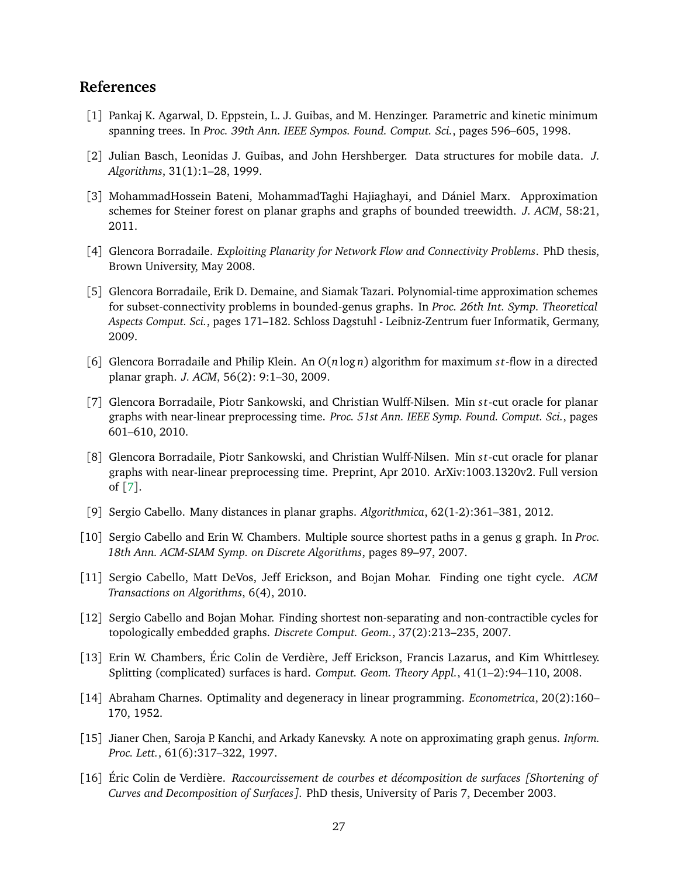# **References**

- <span id="page-27-11"></span>[1] Pankaj K. Agarwal, D. Eppstein, L. J. Guibas, and M. Henzinger. Parametric and kinetic minimum spanning trees. In *Proc. 39th Ann. IEEE Sympos. Found. Comput. Sci.*, pages 596–605, 1998.
- <span id="page-27-1"></span>[2] Julian Basch, Leonidas J. Guibas, and John Hershberger. Data structures for mobile data. *J. Algorithms*, 31(1):1–28, 1999.
- <span id="page-27-5"></span>[3] MohammadHossein Bateni, MohammadTaghi Hajiaghayi, and Dániel Marx. Approximation schemes for Steiner forest on planar graphs and graphs of bounded treewidth. *J. ACM*, 58:21, 2011.
- <span id="page-27-7"></span>[4] Glencora Borradaile. *Exploiting Planarity for Network Flow and Connectivity Problems*. PhD thesis, Brown University, May 2008.
- <span id="page-27-6"></span>[5] Glencora Borradaile, Erik D. Demaine, and Siamak Tazari. Polynomial-time approximation schemes for subset-connectivity problems in bounded-genus graphs. In *Proc. 26th Int. Symp. Theoretical Aspects Comput. Sci.*, pages 171–182. Schloss Dagstuhl - Leibniz-Zentrum fuer Informatik, Germany, 2009.
- <span id="page-27-8"></span>[6] Glencora Borradaile and Philip Klein. An *O*(*n* log *n*) algorithm for maximum *s t*-flow in a directed planar graph. *J. ACM*, 56(2): 9:1–30, 2009.
- <span id="page-27-14"></span>[7] Glencora Borradaile, Piotr Sankowski, and Christian Wulff-Nilsen. Min *s t*-cut oracle for planar graphs with near-linear preprocessing time. *Proc. 51st Ann. IEEE Symp. Found. Comput. Sci.*, pages 601–610, 2010.
- <span id="page-27-15"></span>[8] Glencora Borradaile, Piotr Sankowski, and Christian Wulff-Nilsen. Min *s t*-cut oracle for planar graphs with near-linear preprocessing time. Preprint, Apr 2010. ArXiv:1003.1320v2. Full version of [[7](#page-27-14)].
- <span id="page-27-3"></span>[9] Sergio Cabello. Many distances in planar graphs. *Algorithmica*, 62(1-2):361–381, 2012.
- <span id="page-27-0"></span>[10] Sergio Cabello and Erin W. Chambers. Multiple source shortest paths in a genus g graph. In *Proc. 18th Ann. ACM-SIAM Symp. on Discrete Algorithms*, pages 89–97, 2007.
- <span id="page-27-13"></span>[11] Sergio Cabello, Matt DeVos, Jeff Erickson, and Bojan Mohar. Finding one tight cycle. *ACM Transactions on Algorithms*, 6(4), 2010.
- <span id="page-27-2"></span>[12] Sergio Cabello and Bojan Mohar. Finding shortest non-separating and non-contractible cycles for topologically embedded graphs. *Discrete Comput. Geom.*, 37(2):213–235, 2007.
- <span id="page-27-12"></span>[13] Erin W. Chambers, Éric Colin de Verdière, Jeff Erickson, Francis Lazarus, and Kim Whittlesey. Splitting (complicated) surfaces is hard. *Comput. Geom. Theory Appl.*, 41(1–2):94–110, 2008.
- <span id="page-27-4"></span>[14] Abraham Charnes. Optimality and degeneracy in linear programming. *Econometrica*, 20(2):160– 170, 1952.
- <span id="page-27-9"></span>[15] Jianer Chen, Saroja P. Kanchi, and Arkady Kanevsky. A note on approximating graph genus. *Inform. Proc. Lett.*, 61(6):317–322, 1997.
- <span id="page-27-10"></span>[16] Éric Colin de Verdière. *Raccourcissement de courbes et décomposition de surfaces [Shortening of Curves and Decomposition of Surfaces]*. PhD thesis, University of Paris 7, December 2003.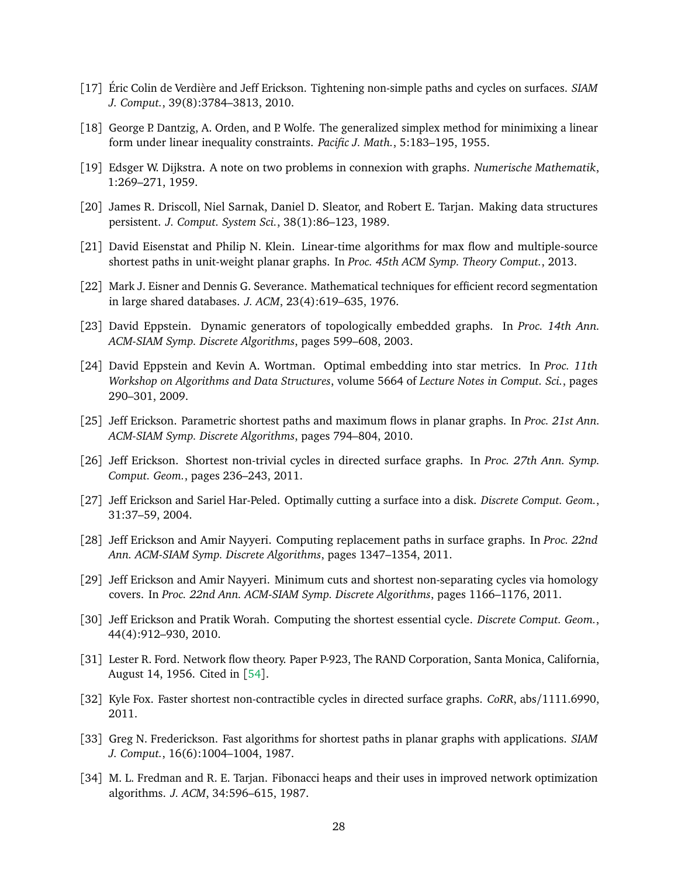- <span id="page-28-13"></span>[17] Éric Colin de Verdière and Jeff Erickson. Tightening non-simple paths and cycles on surfaces. *SIAM J. Comput.*, 39(8):3784–3813, 2010.
- <span id="page-28-17"></span>[18] George P. Dantzig, A. Orden, and P. Wolfe. The generalized simplex method for minimixing a linear form under linear inequality constraints. *Pacific J. Math.*, 5:183–195, 1955.
- <span id="page-28-0"></span>[19] Edsger W. Dijkstra. A note on two problems in connexion with graphs. *Numerische Mathematik*, 1:269–271, 1959.
- <span id="page-28-4"></span>[20] James R. Driscoll, Niel Sarnak, Daniel D. Sleator, and Robert E. Tarjan. Making data structures persistent. *J. Comput. System Sci.*, 38(1):86–123, 1989.
- <span id="page-28-6"></span>[21] David Eisenstat and Philip N. Klein. Linear-time algorithms for max flow and multiple-source shortest paths in unit-weight planar graphs. In *Proc. 45th ACM Symp. Theory Comput.*, 2013.
- <span id="page-28-16"></span>[22] Mark J. Eisner and Dennis G. Severance. Mathematical techniques for efficient record segmentation in large shared databases. *J. ACM*, 23(4):619–635, 1976.
- <span id="page-28-14"></span>[23] David Eppstein. Dynamic generators of topologically embedded graphs. In *Proc. 14th Ann. ACM-SIAM Symp. Discrete Algorithms*, pages 599–608, 2003.
- <span id="page-28-15"></span>[24] David Eppstein and Kevin A. Wortman. Optimal embedding into star metrics. In *Proc. 11th Workshop on Algorithms and Data Structures*, volume 5664 of *Lecture Notes in Comput. Sci.*, pages 290–301, 2009.
- <span id="page-28-11"></span>[25] Jeff Erickson. Parametric shortest paths and maximum flows in planar graphs. In *Proc. 21st Ann. ACM-SIAM Symp. Discrete Algorithms*, pages 794–804, 2010.
- <span id="page-28-7"></span>[26] Jeff Erickson. Shortest non-trivial cycles in directed surface graphs. In *Proc. 27th Ann. Symp. Comput. Geom.*, pages 236–243, 2011.
- <span id="page-28-5"></span>[27] Jeff Erickson and Sariel Har-Peled. Optimally cutting a surface into a disk. *Discrete Comput. Geom.*, 31:37–59, 2004.
- <span id="page-28-12"></span>[28] Jeff Erickson and Amir Nayyeri. Computing replacement paths in surface graphs. In *Proc. 22nd Ann. ACM-SIAM Symp. Discrete Algorithms*, pages 1347–1354, 2011.
- <span id="page-28-8"></span>[29] Jeff Erickson and Amir Nayyeri. Minimum cuts and shortest non-separating cycles via homology covers. In *Proc. 22nd Ann. ACM-SIAM Symp. Discrete Algorithms*, pages 1166–1176, 2011.
- <span id="page-28-9"></span>[30] Jeff Erickson and Pratik Worah. Computing the shortest essential cycle. *Discrete Comput. Geom.*, 44(4):912–930, 2010.
- <span id="page-28-3"></span>[31] Lester R. Ford. Network flow theory. Paper P-923, The RAND Corporation, Santa Monica, California, August 14, 1956. Cited in [[54](#page-30-13)].
- <span id="page-28-10"></span>[32] Kyle Fox. Faster shortest non-contractible cycles in directed surface graphs. *CoRR*, abs/1111.6990, 2011.
- <span id="page-28-2"></span>[33] Greg N. Frederickson. Fast algorithms for shortest paths in planar graphs with applications. *SIAM J. Comput.*, 16(6):1004–1004, 1987.
- <span id="page-28-1"></span>[34] M. L. Fredman and R. E. Tarjan. Fibonacci heaps and their uses in improved network optimization algorithms. *J. ACM*, 34:596–615, 1987.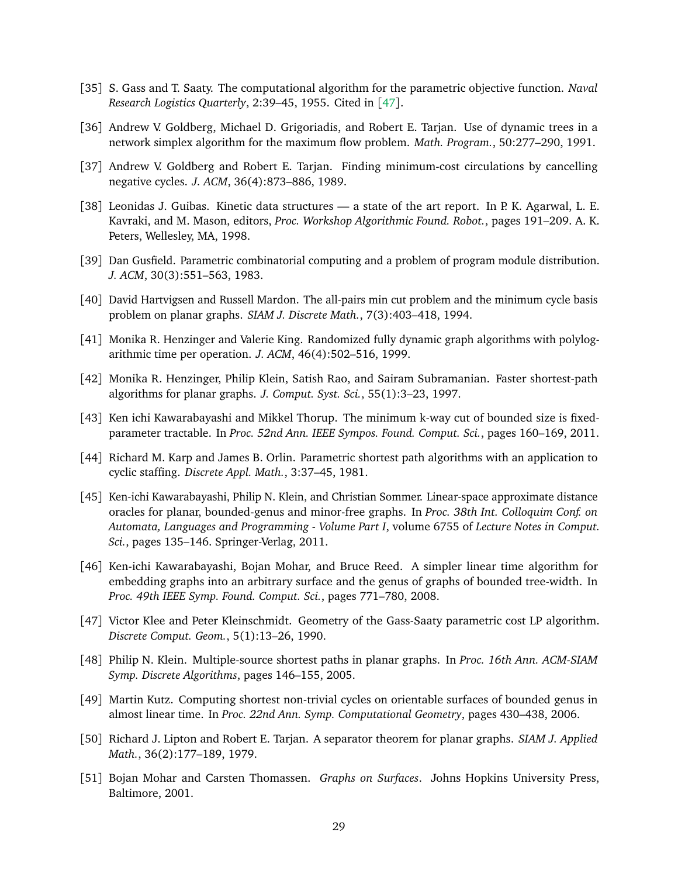- <span id="page-29-12"></span>[35] S. Gass and T. Saaty. The computational algorithm for the parametric objective function. *Naval Research Logistics Quarterly*, 2:39–45, 1955. Cited in [[47](#page-29-13)].
- <span id="page-29-16"></span>[36] Andrew V. Goldberg, Michael D. Grigoriadis, and Robert E. Tarjan. Use of dynamic trees in a network simplex algorithm for the maximum flow problem. *Math. Program.*, 50:277–290, 1991.
- <span id="page-29-11"></span>[37] Andrew V. Goldberg and Robert E. Tarjan. Finding minimum-cost circulations by cancelling negative cycles. *J. ACM*, 36(4):873–886, 1989.
- <span id="page-29-3"></span>[38] Leonidas J. Guibas. Kinetic data structures — a state of the art report. In P. K. Agarwal, L. E. Kavraki, and M. Mason, editors, *Proc. Workshop Algorithmic Found. Robot.*, pages 191–209. A. K. Peters, Wellesley, MA, 1998.
- <span id="page-29-14"></span>[39] Dan Gusfield. Parametric combinatorial computing and a problem of program module distribution. *J. ACM*, 30(3):551–563, 1983.
- <span id="page-29-7"></span>[40] David Hartvigsen and Russell Mardon. The all-pairs min cut problem and the minimum cycle basis problem on planar graphs. *SIAM J. Discrete Math.*, 7(3):403–418, 1994.
- <span id="page-29-15"></span>[41] Monika R. Henzinger and Valerie King. Randomized fully dynamic graph algorithms with polylogarithmic time per operation. *J. ACM*, 46(4):502–516, 1999.
- <span id="page-29-0"></span>[42] Monika R. Henzinger, Philip Klein, Satish Rao, and Sairam Subramanian. Faster shortest-path algorithms for planar graphs. *J. Comput. Syst. Sci.*, 55(1):3–23, 1997.
- <span id="page-29-8"></span>[43] Ken ichi Kawarabayashi and Mikkel Thorup. The minimum k-way cut of bounded size is fixedparameter tractable. In *Proc. 52nd Ann. IEEE Sympos. Found. Comput. Sci.*, pages 160–169, 2011.
- <span id="page-29-4"></span>[44] Richard M. Karp and James B. Orlin. Parametric shortest path algorithms with an application to cyclic staffing. *Discrete Appl. Math.*, 3:37–45, 1981.
- <span id="page-29-9"></span>[45] Ken-ichi Kawarabayashi, Philip N. Klein, and Christian Sommer. Linear-space approximate distance oracles for planar, bounded-genus and minor-free graphs. In *Proc. 38th Int. Colloquim Conf. on Automata, Languages and Programming - Volume Part I*, volume 6755 of *Lecture Notes in Comput. Sci.*, pages 135–146. Springer-Verlag, 2011.
- <span id="page-29-10"></span>[46] Ken-ichi Kawarabayashi, Bojan Mohar, and Bruce Reed. A simpler linear time algorithm for embedding graphs into an arbitrary surface and the genus of graphs of bounded tree-width. In *Proc. 49th IEEE Symp. Found. Comput. Sci.*, pages 771–780, 2008.
- <span id="page-29-13"></span>[47] Victor Klee and Peter Kleinschmidt. Geometry of the Gass-Saaty parametric cost LP algorithm. *Discrete Comput. Geom.*, 5(1):13–26, 1990.
- <span id="page-29-1"></span>[48] Philip N. Klein. Multiple-source shortest paths in planar graphs. In *Proc. 16th Ann. ACM-SIAM Symp. Discrete Algorithms*, pages 146–155, 2005.
- <span id="page-29-6"></span>[49] Martin Kutz. Computing shortest non-trivial cycles on orientable surfaces of bounded genus in almost linear time. In *Proc. 22nd Ann. Symp. Computational Geometry*, pages 430–438, 2006.
- <span id="page-29-2"></span>[50] Richard J. Lipton and Robert E. Tarjan. A separator theorem for planar graphs. *SIAM J. Applied Math.*, 36(2):177–189, 1979.
- <span id="page-29-5"></span>[51] Bojan Mohar and Carsten Thomassen. *Graphs on Surfaces*. Johns Hopkins University Press, Baltimore, 2001.